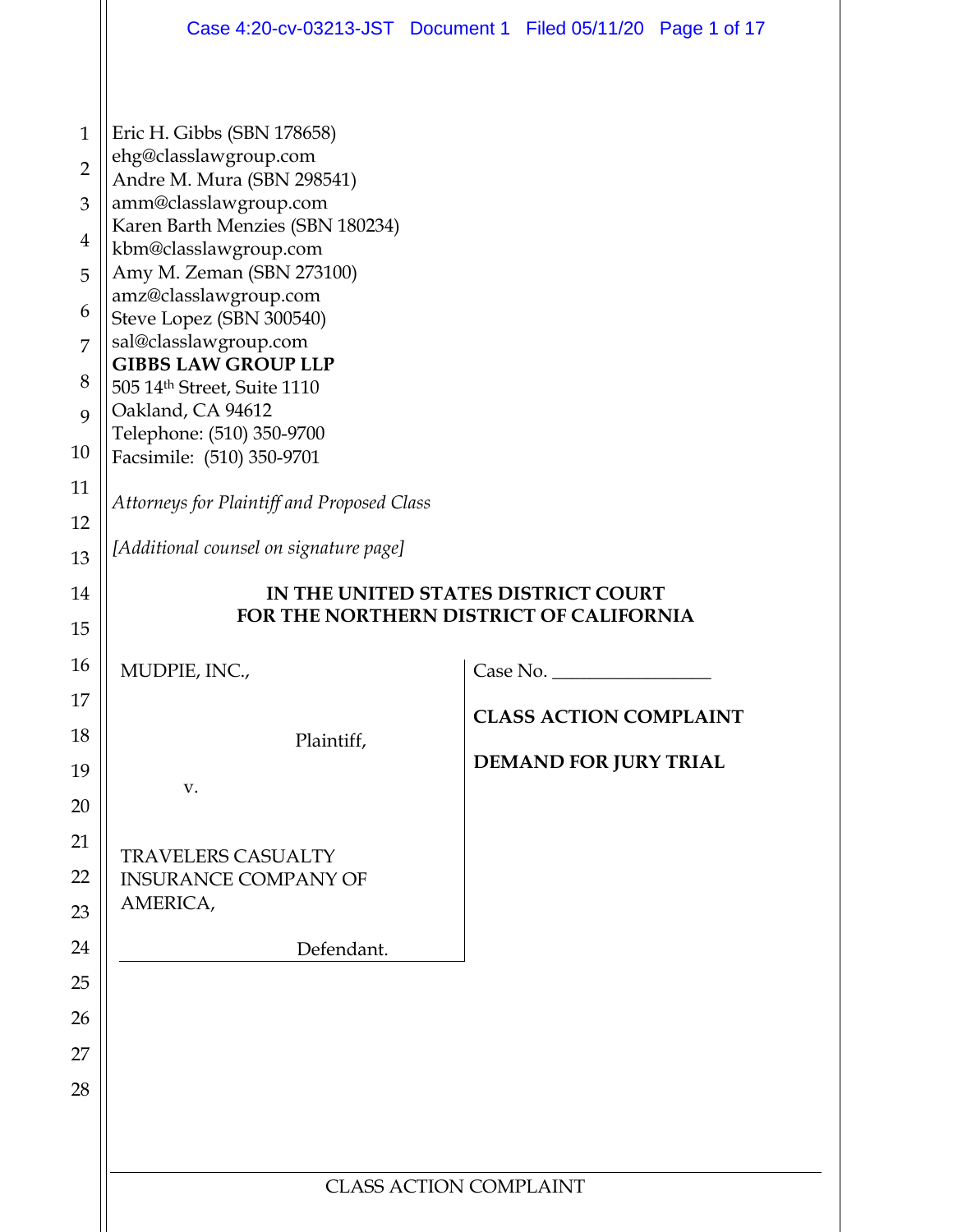|                |                                                           | Case 4:20-cv-03213-JST Document 1 Filed 05/11/20 Page 1 of 17 |
|----------------|-----------------------------------------------------------|---------------------------------------------------------------|
|                |                                                           |                                                               |
| $\mathbf{1}$   | Eric H. Gibbs (SBN 178658)                                |                                                               |
| $\overline{2}$ | ehg@classlawgroup.com<br>Andre M. Mura (SBN 298541)       |                                                               |
| 3              | amm@classlawgroup.com                                     |                                                               |
| $\overline{4}$ | Karen Barth Menzies (SBN 180234)<br>kbm@classlawgroup.com |                                                               |
| 5              | Amy M. Zeman (SBN 273100)                                 |                                                               |
| 6              | amz@classlawgroup.com<br>Steve Lopez (SBN 300540)         |                                                               |
| 7              | sal@classlawgroup.com<br><b>GIBBS LAW GROUP LLP</b>       |                                                               |
| 8              | 505 14th Street, Suite 1110                               |                                                               |
| 9              | Oakland, CA 94612                                         |                                                               |
| 10             | Telephone: (510) 350-9700<br>Facsimile: (510) 350-9701    |                                                               |
| 11             | Attorneys for Plaintiff and Proposed Class                |                                                               |
| 12             |                                                           |                                                               |
| 13             | [Additional counsel on signature page]                    |                                                               |
| 14             |                                                           | IN THE UNITED STATES DISTRICT COURT                           |
| 15             |                                                           | FOR THE NORTHERN DISTRICT OF CALIFORNIA                       |
| 16             | MUDPIE, INC.,                                             | Case No.                                                      |
| 17             |                                                           | <b>CLASS ACTION COMPLAINT</b>                                 |
| 18             | Plaintiff,                                                |                                                               |
| 19             |                                                           | DEMAND FOR JURY TRIAL                                         |
| 20             | V.                                                        |                                                               |
| 21             | <b>TRAVELERS CASUALTY</b>                                 |                                                               |
| 22             | <b>INSURANCE COMPANY OF</b>                               |                                                               |
| 23             | AMERICA,                                                  |                                                               |
| 24             | Defendant.                                                |                                                               |
| 25             |                                                           |                                                               |
| 26             |                                                           |                                                               |
| 27             |                                                           |                                                               |
| 28             |                                                           |                                                               |
|                |                                                           |                                                               |
|                |                                                           |                                                               |
|                |                                                           | <b>CLASS ACTION COMPLAINT</b>                                 |
|                |                                                           |                                                               |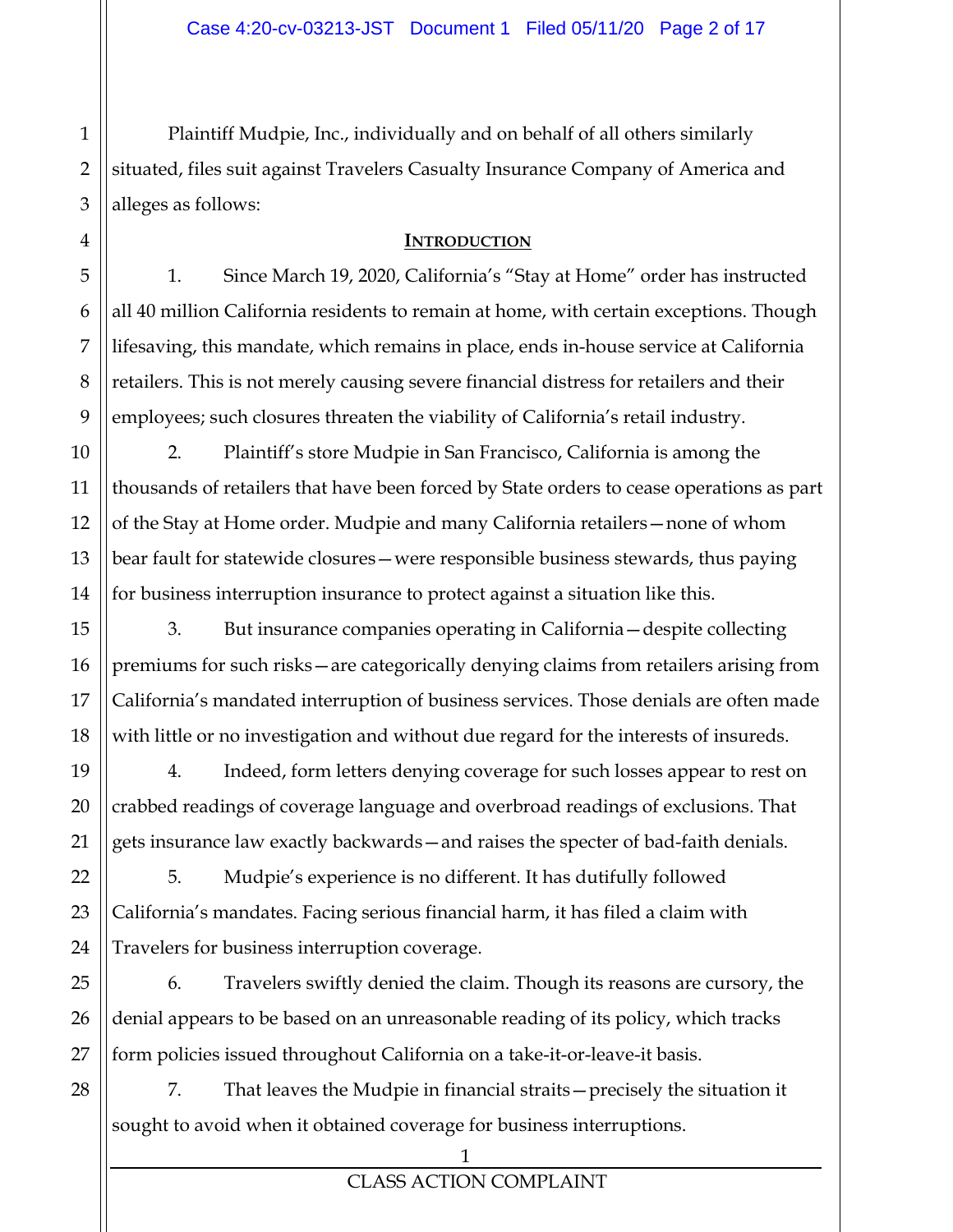Plaintiff Mudpie, Inc., individually and on behalf of all others similarly situated, files suit against Travelers Casualty Insurance Company of America and alleges as follows:

### **INTRODUCTION**

1. Since March 19, 2020, California's "Stay at Home" order has instructed all 40 million California residents to remain at home, with certain exceptions. Though lifesaving, this mandate, which remains in place, ends in-house service at California retailers. This is not merely causing severe financial distress for retailers and their employees; such closures threaten the viability of California's retail industry.

2. Plaintiff's store Mudpie in San Francisco, California is among the thousands of retailers that have been forced by State orders to cease operations as part of the Stay at Home order. Mudpie and many California retailers—none of whom bear fault for statewide closures—were responsible business stewards, thus paying for business interruption insurance to protect against a situation like this.

3. But insurance companies operating in California—despite collecting premiums for such risks—are categorically denying claims from retailers arising from California's mandated interruption of business services. Those denials are often made with little or no investigation and without due regard for the interests of insureds.

4. Indeed, form letters denying coverage for such losses appear to rest on crabbed readings of coverage language and overbroad readings of exclusions. That gets insurance law exactly backwards—and raises the specter of bad-faith denials.

5. Mudpie's experience is no different. It has dutifully followed California's mandates. Facing serious financial harm, it has filed a claim with Travelers for business interruption coverage.

6. Travelers swiftly denied the claim. Though its reasons are cursory, the denial appears to be based on an unreasonable reading of its policy, which tracks form policies issued throughout California on a take-it-or-leave-it basis.

7. That leaves the Mudpie in financial straits—precisely the situation it sought to avoid when it obtained coverage for business interruptions.

1

2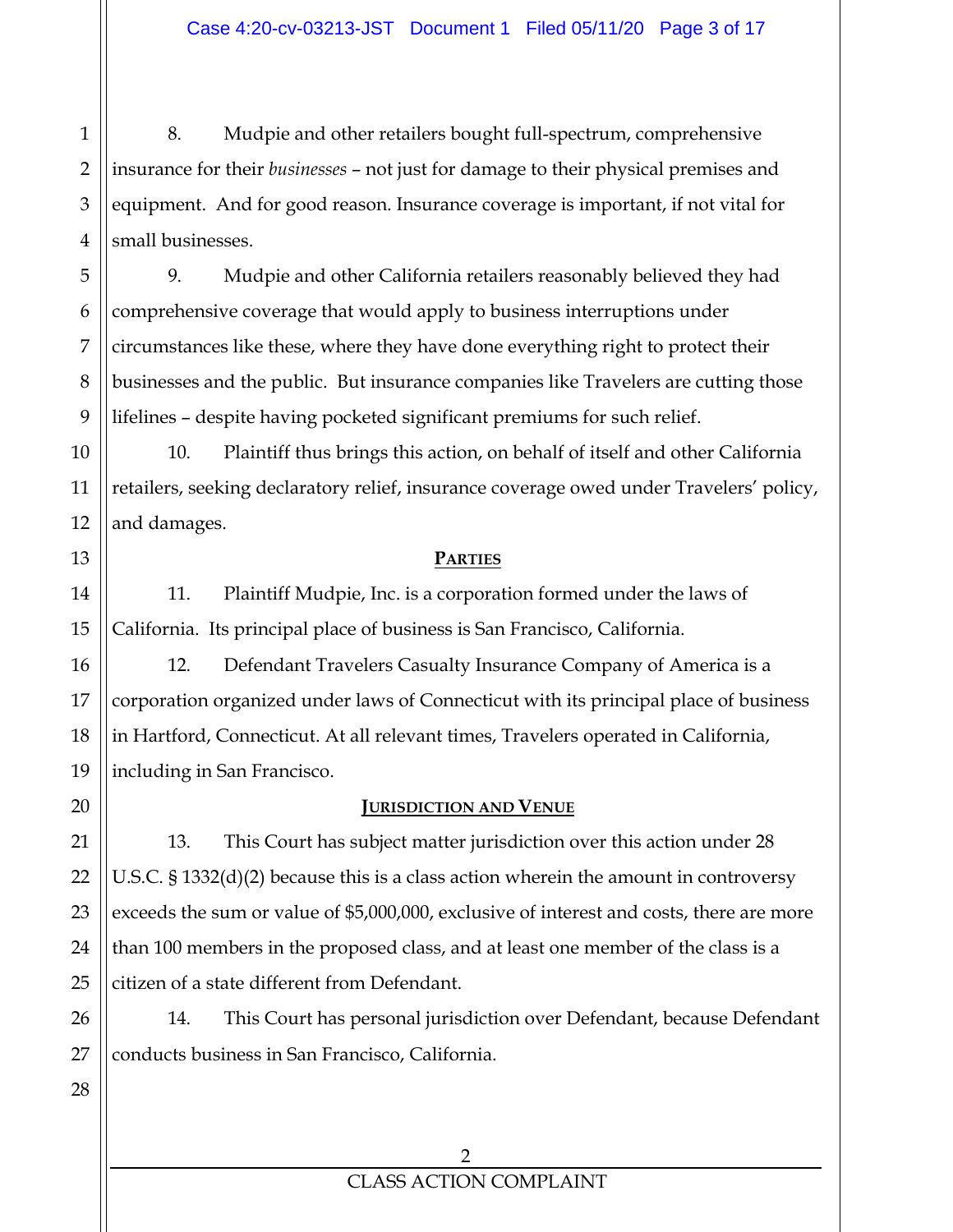1 2 8. Mudpie and other retailers bought full-spectrum, comprehensive insurance for their *businesses* – not just for damage to their physical premises and equipment. And for good reason. Insurance coverage is important, if not vital for small businesses.

9. Mudpie and other California retailers reasonably believed they had comprehensive coverage that would apply to business interruptions under circumstances like these, where they have done everything right to protect their businesses and the public. But insurance companies like Travelers are cutting those lifelines – despite having pocketed significant premiums for such relief.

10. Plaintiff thus brings this action, on behalf of itself and other California retailers, seeking declaratory relief, insurance coverage owed under Travelers' policy, and damages.

#### **PARTIES**

11. Plaintiff Mudpie, Inc. is a corporation formed under the laws of California. Its principal place of business is San Francisco, California.

12. Defendant Travelers Casualty Insurance Company of America is a corporation organized under laws of Connecticut with its principal place of business in Hartford, Connecticut. At all relevant times, Travelers operated in California, including in San Francisco.

# **JURISDICTION AND VENUE**

13. This Court has subject matter jurisdiction over this action under 28 U.S.C. § 1332(d)(2) because this is a class action wherein the amount in controversy exceeds the sum or value of \$5,000,000, exclusive of interest and costs, there are more than 100 members in the proposed class, and at least one member of the class is a citizen of a state different from Defendant.

14. This Court has personal jurisdiction over Defendant, because Defendant conducts business in San Francisco, California.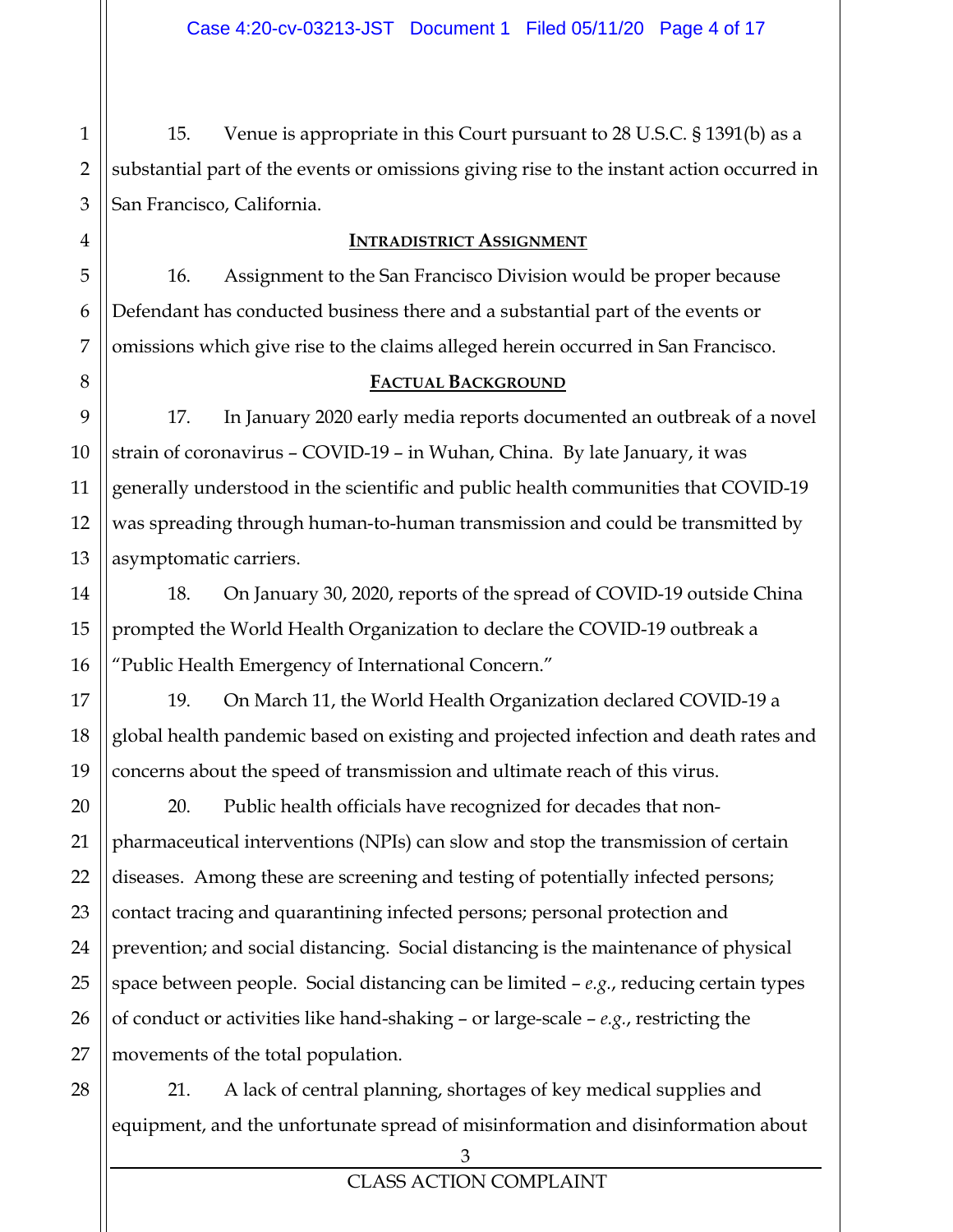1 2 3 15. Venue is appropriate in this Court pursuant to 28 U.S.C. § 1391(b) as a substantial part of the events or omissions giving rise to the instant action occurred in San Francisco, California.

### **INTRADISTRICT ASSIGNMENT**

16. Assignment to the San Francisco Division would be proper because Defendant has conducted business there and a substantial part of the events or omissions which give rise to the claims alleged herein occurred in San Francisco.

## **FACTUAL BACKGROUND**

17. In January 2020 early media reports documented an outbreak of a novel strain of coronavirus – COVID-19 – in Wuhan, China. By late January, it was generally understood in the scientific and public health communities that COVID-19 was spreading through human-to-human transmission and could be transmitted by asymptomatic carriers.

18. On January 30, 2020, reports of the spread of COVID-19 outside China prompted the World Health Organization to declare the COVID-19 outbreak a "Public Health Emergency of International Concern."

19. On March 11, the World Health Organization declared COVID-19 a global health pandemic based on existing and projected infection and death rates and concerns about the speed of transmission and ultimate reach of this virus.

20. Public health officials have recognized for decades that nonpharmaceutical interventions (NPIs) can slow and stop the transmission of certain diseases. Among these are screening and testing of potentially infected persons; contact tracing and quarantining infected persons; personal protection and prevention; and social distancing. Social distancing is the maintenance of physical space between people. Social distancing can be limited – *e.g.*, reducing certain types of conduct or activities like hand-shaking – or large-scale – *e.g.*, restricting the movements of the total population.

21. A lack of central planning, shortages of key medical supplies and equipment, and the unfortunate spread of misinformation and disinformation about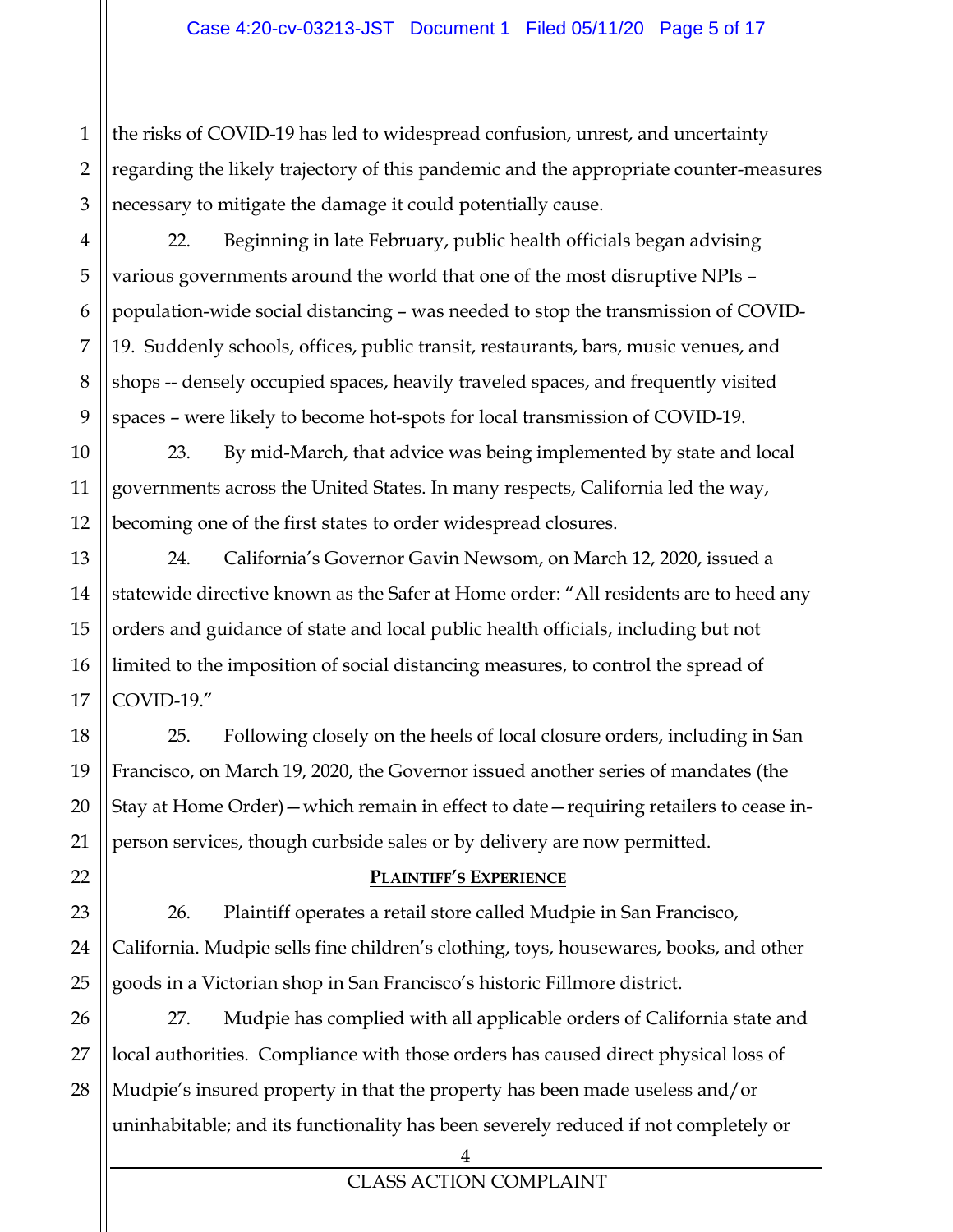1 2 the risks of COVID-19 has led to widespread confusion, unrest, and uncertainty regarding the likely trajectory of this pandemic and the appropriate counter-measures necessary to mitigate the damage it could potentially cause.

22. Beginning in late February, public health officials began advising various governments around the world that one of the most disruptive NPIs – population-wide social distancing – was needed to stop the transmission of COVID-19. Suddenly schools, offices, public transit, restaurants, bars, music venues, and shops -- densely occupied spaces, heavily traveled spaces, and frequently visited spaces – were likely to become hot-spots for local transmission of COVID-19.

23. By mid-March, that advice was being implemented by state and local governments across the United States. In many respects, California led the way, becoming one of the first states to order widespread closures.

24. California's Governor Gavin Newsom, on March 12, 2020, issued a statewide directive known as the Safer at Home order: "All residents are to heed any orders and guidance of state and local public health officials, including but not limited to the imposition of social distancing measures, to control the spread of COVID-19."

25. Following closely on the heels of local closure orders, including in San Francisco, on March 19, 2020, the Governor issued another series of mandates (the Stay at Home Order)—which remain in effect to date—requiring retailers to cease inperson services, though curbside sales or by delivery are now permitted.

# **PLAINTIFF'S EXPERIENCE**

26. Plaintiff operates a retail store called Mudpie in San Francisco, California. Mudpie sells fine children's clothing, toys, housewares, books, and other goods in a Victorian shop in San Francisco's historic Fillmore district.

27. Mudpie has complied with all applicable orders of California state and local authorities. Compliance with those orders has caused direct physical loss of Mudpie's insured property in that the property has been made useless and/or uninhabitable; and its functionality has been severely reduced if not completely or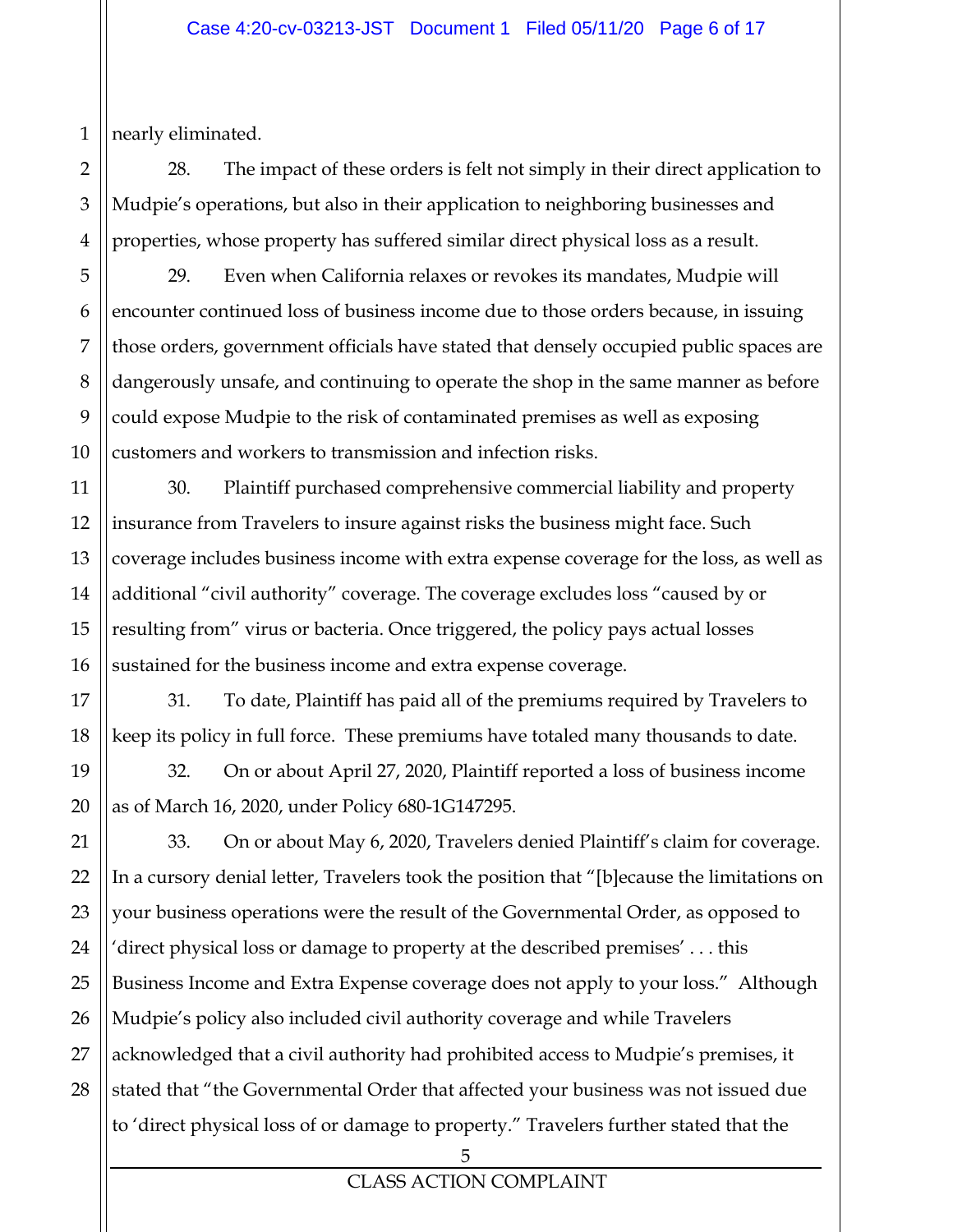1 nearly eliminated.

2

3

28. The impact of these orders is felt not simply in their direct application to Mudpie's operations, but also in their application to neighboring businesses and properties, whose property has suffered similar direct physical loss as a result.

29. Even when California relaxes or revokes its mandates, Mudpie will encounter continued loss of business income due to those orders because, in issuing those orders, government officials have stated that densely occupied public spaces are dangerously unsafe, and continuing to operate the shop in the same manner as before could expose Mudpie to the risk of contaminated premises as well as exposing customers and workers to transmission and infection risks.

30. Plaintiff purchased comprehensive commercial liability and property insurance from Travelers to insure against risks the business might face. Such coverage includes business income with extra expense coverage for the loss, as well as additional "civil authority" coverage. The coverage excludes loss "caused by or resulting from" virus or bacteria. Once triggered, the policy pays actual losses sustained for the business income and extra expense coverage.

31. To date, Plaintiff has paid all of the premiums required by Travelers to keep its policy in full force. These premiums have totaled many thousands to date.

32. On or about April 27, 2020, Plaintiff reported a loss of business income as of March 16, 2020, under Policy 680-1G147295.

33. On or about May 6, 2020, Travelers denied Plaintiff's claim for coverage. In a cursory denial letter, Travelers took the position that "[b]ecause the limitations on your business operations were the result of the Governmental Order, as opposed to 'direct physical loss or damage to property at the described premises' . . . this Business Income and Extra Expense coverage does not apply to your loss." Although Mudpie's policy also included civil authority coverage and while Travelers acknowledged that a civil authority had prohibited access to Mudpie's premises, it stated that "the Governmental Order that affected your business was not issued due to 'direct physical loss of or damage to property." Travelers further stated that the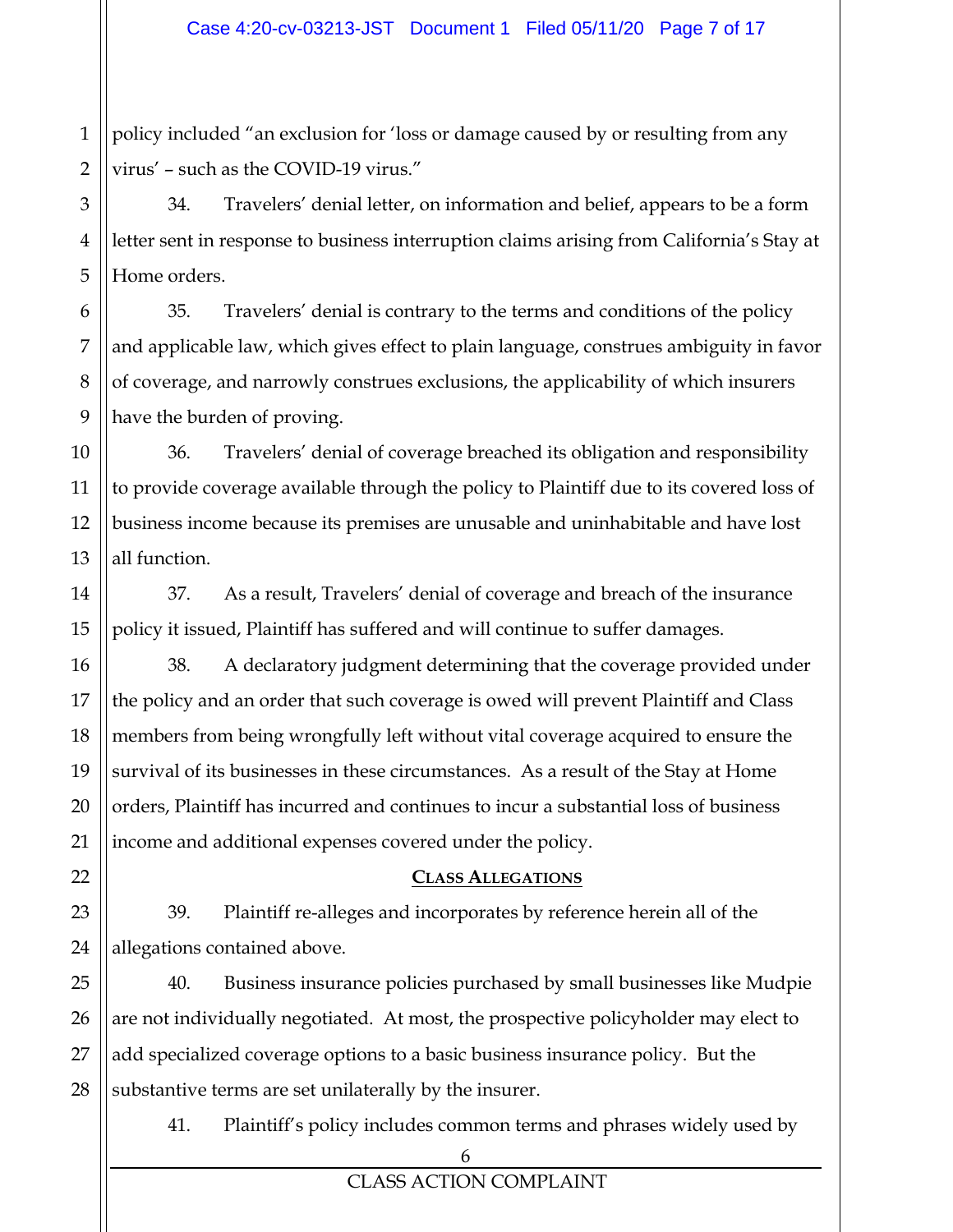1 policy included "an exclusion for 'loss or damage caused by or resulting from any virus' – such as the COVID-19 virus."

34. Travelers' denial letter, on information and belief, appears to be a form letter sent in response to business interruption claims arising from California's Stay at Home orders.

35. Travelers' denial is contrary to the terms and conditions of the policy and applicable law, which gives effect to plain language, construes ambiguity in favor of coverage, and narrowly construes exclusions, the applicability of which insurers have the burden of proving.

36. Travelers' denial of coverage breached its obligation and responsibility to provide coverage available through the policy to Plaintiff due to its covered loss of business income because its premises are unusable and uninhabitable and have lost all function.

37. As a result, Travelers' denial of coverage and breach of the insurance policy it issued, Plaintiff has suffered and will continue to suffer damages.

38. A declaratory judgment determining that the coverage provided under the policy and an order that such coverage is owed will prevent Plaintiff and Class members from being wrongfully left without vital coverage acquired to ensure the survival of its businesses in these circumstances. As a result of the Stay at Home orders, Plaintiff has incurred and continues to incur a substantial loss of business income and additional expenses covered under the policy.

#### **CLASS ALLEGATIONS**

39. Plaintiff re-alleges and incorporates by reference herein all of the allegations contained above.

40. Business insurance policies purchased by small businesses like Mudpie are not individually negotiated. At most, the prospective policyholder may elect to add specialized coverage options to a basic business insurance policy. But the substantive terms are set unilaterally by the insurer.

41. Plaintiff's policy includes common terms and phrases widely used by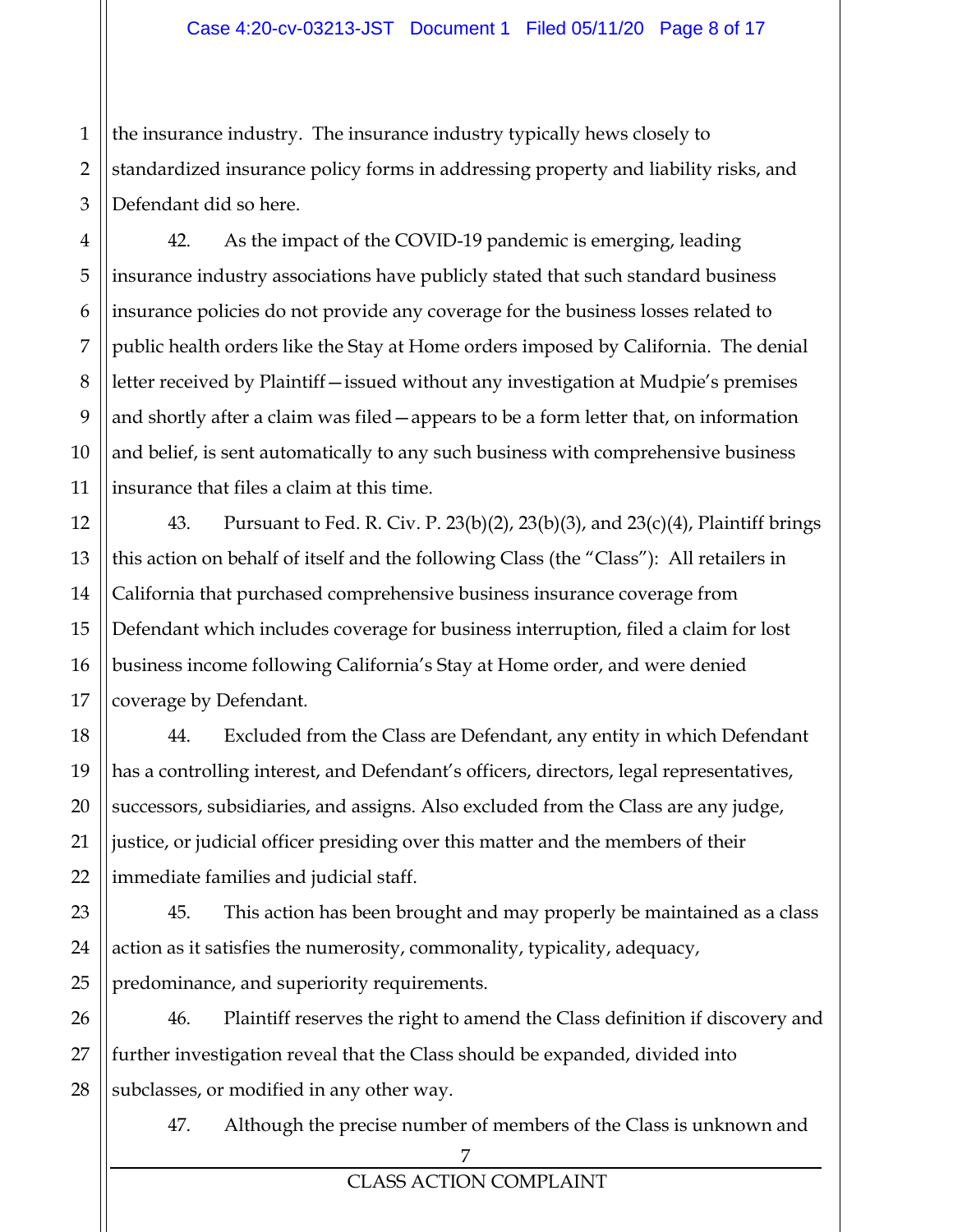1 the insurance industry. The insurance industry typically hews closely to standardized insurance policy forms in addressing property and liability risks, and Defendant did so here.

42. As the impact of the COVID-19 pandemic is emerging, leading insurance industry associations have publicly stated that such standard business insurance policies do not provide any coverage for the business losses related to public health orders like the Stay at Home orders imposed by California. The denial letter received by Plaintiff—issued without any investigation at Mudpie's premises and shortly after a claim was filed—appears to be a form letter that, on information and belief, is sent automatically to any such business with comprehensive business insurance that files a claim at this time.

43. Pursuant to Fed. R. Civ. P. 23(b)(2), 23(b)(3), and 23(c)(4), Plaintiff brings this action on behalf of itself and the following Class (the "Class"): All retailers in California that purchased comprehensive business insurance coverage from Defendant which includes coverage for business interruption, filed a claim for lost business income following California's Stay at Home order, and were denied coverage by Defendant.

44. Excluded from the Class are Defendant, any entity in which Defendant has a controlling interest, and Defendant's officers, directors, legal representatives, successors, subsidiaries, and assigns. Also excluded from the Class are any judge, justice, or judicial officer presiding over this matter and the members of their immediate families and judicial staff.

45. This action has been brought and may properly be maintained as a class action as it satisfies the numerosity, commonality, typicality, adequacy, predominance, and superiority requirements.

46. Plaintiff reserves the right to amend the Class definition if discovery and further investigation reveal that the Class should be expanded, divided into subclasses, or modified in any other way.

47. Although the precise number of members of the Class is unknown and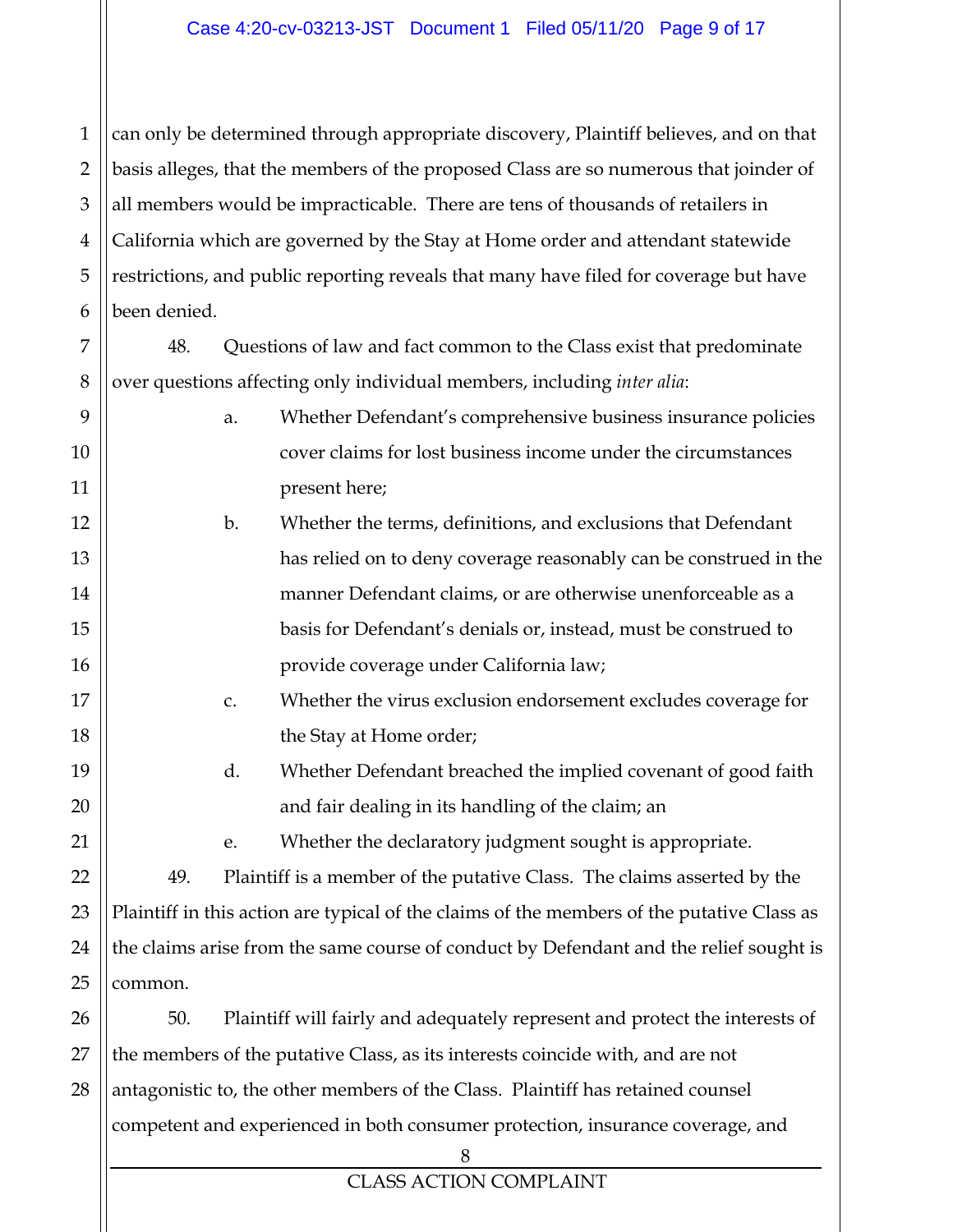1 2 3 4 5 6 can only be determined through appropriate discovery, Plaintiff believes, and on that basis alleges, that the members of the proposed Class are so numerous that joinder of all members would be impracticable. There are tens of thousands of retailers in California which are governed by the Stay at Home order and attendant statewide restrictions, and public reporting reveals that many have filed for coverage but have been denied.

48. Questions of law and fact common to the Class exist that predominate over questions affecting only individual members, including *inter alia*:

7

| 9  |                                                                                            | a. | Whether Defendant's comprehensive business insurance policies                          |  |  |  |
|----|--------------------------------------------------------------------------------------------|----|----------------------------------------------------------------------------------------|--|--|--|
| 10 |                                                                                            |    | cover claims for lost business income under the circumstances                          |  |  |  |
| 11 |                                                                                            |    | present here;                                                                          |  |  |  |
| 12 | Whether the terms, definitions, and exclusions that Defendant<br>$\mathbf{b}$ .            |    |                                                                                        |  |  |  |
| 13 |                                                                                            |    | has relied on to deny coverage reasonably can be construed in the                      |  |  |  |
| 14 |                                                                                            |    | manner Defendant claims, or are otherwise unenforceable as a                           |  |  |  |
| 15 |                                                                                            |    | basis for Defendant's denials or, instead, must be construed to                        |  |  |  |
| 16 |                                                                                            |    | provide coverage under California law;                                                 |  |  |  |
| 17 |                                                                                            | C. | Whether the virus exclusion endorsement excludes coverage for                          |  |  |  |
| 18 |                                                                                            |    | the Stay at Home order;                                                                |  |  |  |
| 19 |                                                                                            | d. | Whether Defendant breached the implied covenant of good faith                          |  |  |  |
| 20 |                                                                                            |    | and fair dealing in its handling of the claim; an                                      |  |  |  |
| 21 |                                                                                            | e. | Whether the declaratory judgment sought is appropriate.                                |  |  |  |
| 22 | 49.                                                                                        |    | Plaintiff is a member of the putative Class. The claims asserted by the                |  |  |  |
| 23 | Plaintiff in this action are typical of the claims of the members of the putative Class as |    |                                                                                        |  |  |  |
| 24 |                                                                                            |    | the claims arise from the same course of conduct by Defendant and the relief sought is |  |  |  |
| 25 | common.                                                                                    |    |                                                                                        |  |  |  |
| 26 | 50.                                                                                        |    | Plaintiff will fairly and adequately represent and protect the interests of            |  |  |  |
| 27 | the members of the putative Class, as its interests coincide with, and are not             |    |                                                                                        |  |  |  |
| 28 |                                                                                            |    | antagonistic to, the other members of the Class. Plaintiff has retained counsel        |  |  |  |
|    |                                                                                            |    | competent and experienced in both consumer protection, insurance coverage, and         |  |  |  |
|    |                                                                                            |    | 8                                                                                      |  |  |  |
|    | <b>CLASS ACTION COMPLAINT</b>                                                              |    |                                                                                        |  |  |  |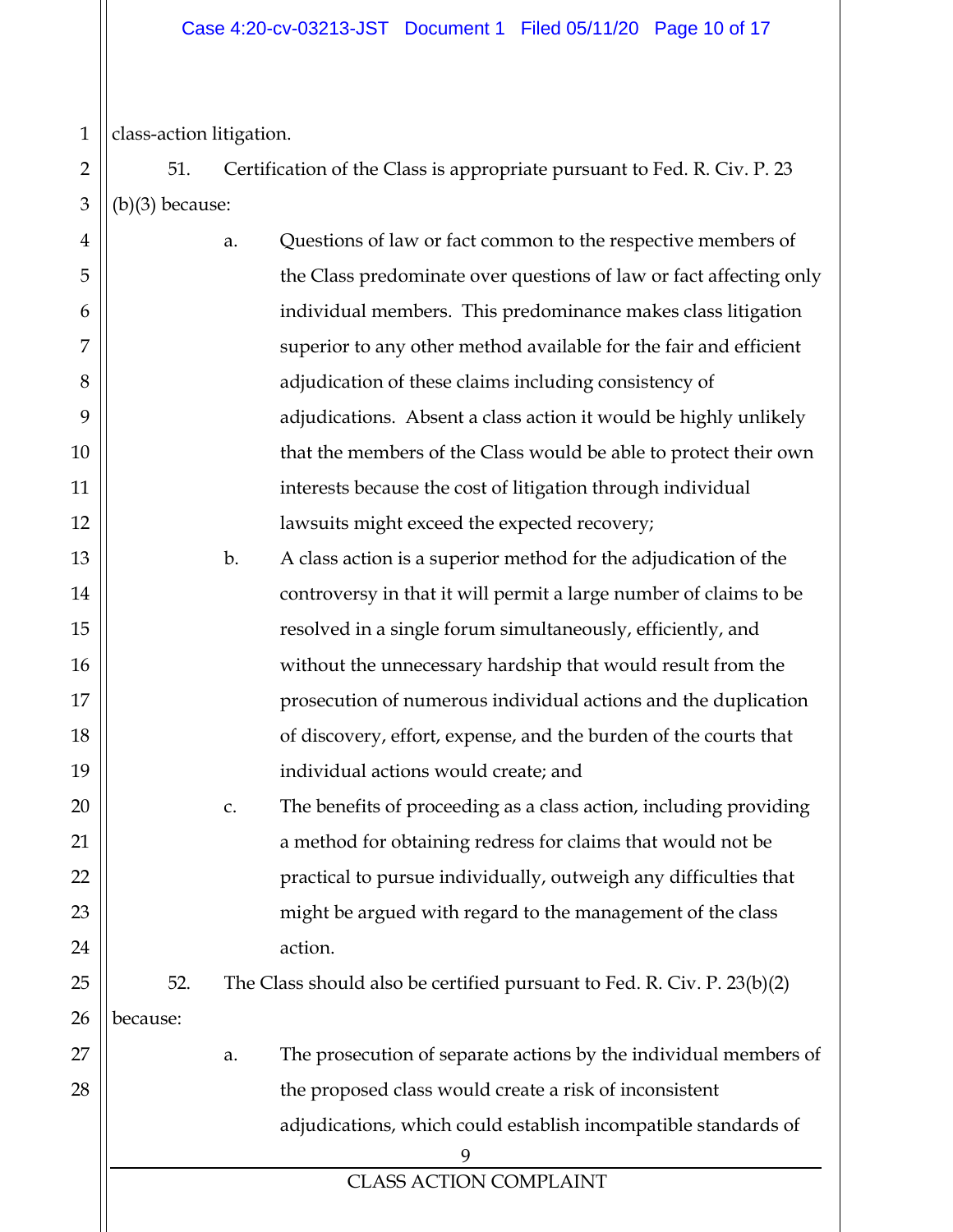1 class-action litigation.

2 3 51. Certification of the Class is appropriate pursuant to Fed. R. Civ. P. 23 (b)(3) because:

| $\overline{4}$ |          | a. | Questions of law or fact common to the respective members of            |
|----------------|----------|----|-------------------------------------------------------------------------|
| 5              |          |    | the Class predominate over questions of law or fact affecting only      |
| 6              |          |    | individual members. This predominance makes class litigation            |
| 7              |          |    | superior to any other method available for the fair and efficient       |
| 8              |          |    | adjudication of these claims including consistency of                   |
| 9              |          |    | adjudications. Absent a class action it would be highly unlikely        |
| 10             |          |    | that the members of the Class would be able to protect their own        |
| 11             |          |    | interests because the cost of litigation through individual             |
| 12             |          |    | lawsuits might exceed the expected recovery;                            |
| 13             |          | b. | A class action is a superior method for the adjudication of the         |
| 14             |          |    | controversy in that it will permit a large number of claims to be       |
| 15             |          |    | resolved in a single forum simultaneously, efficiently, and             |
| 16             |          |    | without the unnecessary hardship that would result from the             |
| 17             |          |    | prosecution of numerous individual actions and the duplication          |
| 18             |          |    | of discovery, effort, expense, and the burden of the courts that        |
| 19             |          |    | individual actions would create; and                                    |
| 20             |          | c. | The benefits of proceeding as a class action, including providing       |
| 21             |          |    | a method for obtaining redress for claims that would not be             |
| 22             |          |    | practical to pursue individually, outweigh any difficulties that        |
| 23             |          |    | might be argued with regard to the management of the class              |
| 24             |          |    | action.                                                                 |
| 25             | 52.      |    | The Class should also be certified pursuant to Fed. R. Civ. P. 23(b)(2) |
| 26             | because: |    |                                                                         |
| 27             |          | a. | The prosecution of separate actions by the individual members of        |
| 28             |          |    | the proposed class would create a risk of inconsistent                  |
|                |          |    | adjudications, which could establish incompatible standards of          |
|                |          |    | 9                                                                       |
|                |          |    | <b>CLASS ACTION COMPLAINT</b>                                           |
|                |          |    |                                                                         |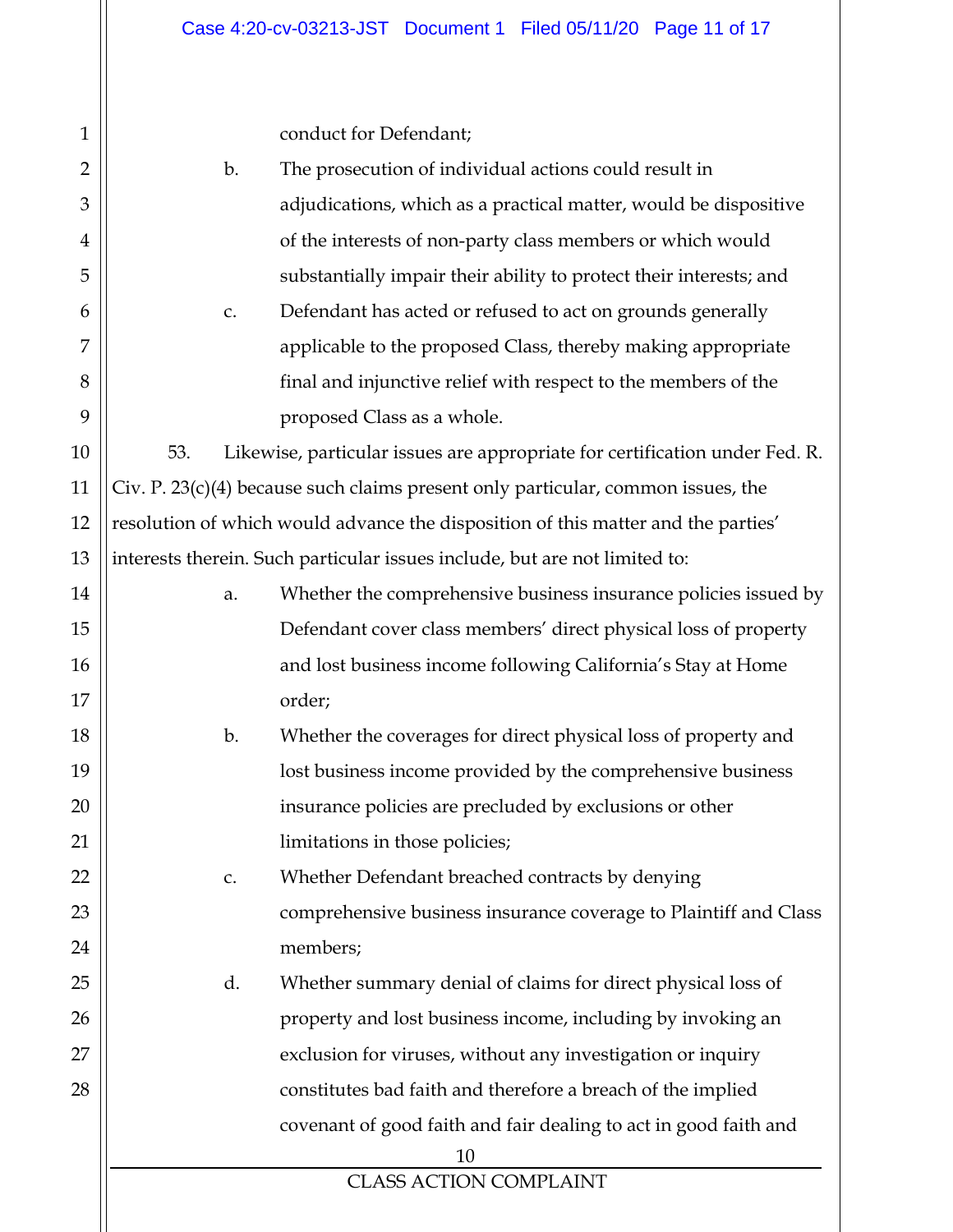| $\mathbf{1}$   |                                                                         | conduct for Defendant;                                                             |  |  |  |  |  |  |
|----------------|-------------------------------------------------------------------------|------------------------------------------------------------------------------------|--|--|--|--|--|--|
| $\overline{2}$ | The prosecution of individual actions could result in<br>$\mathbf{b}$ . |                                                                                    |  |  |  |  |  |  |
| 3              |                                                                         | adjudications, which as a practical matter, would be dispositive                   |  |  |  |  |  |  |
| $\overline{4}$ |                                                                         | of the interests of non-party class members or which would                         |  |  |  |  |  |  |
| 5              | substantially impair their ability to protect their interests; and      |                                                                                    |  |  |  |  |  |  |
| 6              | Defendant has acted or refused to act on grounds generally<br>C.        |                                                                                    |  |  |  |  |  |  |
| 7              | applicable to the proposed Class, thereby making appropriate            |                                                                                    |  |  |  |  |  |  |
| 8              |                                                                         | final and injunctive relief with respect to the members of the                     |  |  |  |  |  |  |
| 9              |                                                                         | proposed Class as a whole.                                                         |  |  |  |  |  |  |
| 10             | 53.                                                                     | Likewise, particular issues are appropriate for certification under Fed. R.        |  |  |  |  |  |  |
| 11             |                                                                         | Civ. P. $23(c)(4)$ because such claims present only particular, common issues, the |  |  |  |  |  |  |
| 12             |                                                                         | resolution of which would advance the disposition of this matter and the parties'  |  |  |  |  |  |  |
| 13             |                                                                         | interests therein. Such particular issues include, but are not limited to:         |  |  |  |  |  |  |
| 14             | a.                                                                      | Whether the comprehensive business insurance policies issued by                    |  |  |  |  |  |  |
| 15             |                                                                         | Defendant cover class members' direct physical loss of property                    |  |  |  |  |  |  |
| 16             |                                                                         | and lost business income following California's Stay at Home                       |  |  |  |  |  |  |
| 17             |                                                                         | order;                                                                             |  |  |  |  |  |  |
| 18             | $\mathbf{b}$ .                                                          | Whether the coverages for direct physical loss of property and                     |  |  |  |  |  |  |
| 19             |                                                                         | lost business income provided by the comprehensive business                        |  |  |  |  |  |  |
| 20             |                                                                         | insurance policies are precluded by exclusions or other                            |  |  |  |  |  |  |
| 21             |                                                                         | limitations in those policies;                                                     |  |  |  |  |  |  |
| 22             | c.                                                                      | Whether Defendant breached contracts by denying                                    |  |  |  |  |  |  |
| 23             |                                                                         | comprehensive business insurance coverage to Plaintiff and Class                   |  |  |  |  |  |  |
| 24             |                                                                         | members;                                                                           |  |  |  |  |  |  |
| 25             | d.                                                                      | Whether summary denial of claims for direct physical loss of                       |  |  |  |  |  |  |
| 26             |                                                                         | property and lost business income, including by invoking an                        |  |  |  |  |  |  |
| 27             |                                                                         | exclusion for viruses, without any investigation or inquiry                        |  |  |  |  |  |  |
| 28             |                                                                         | constitutes bad faith and therefore a breach of the implied                        |  |  |  |  |  |  |
|                |                                                                         | covenant of good faith and fair dealing to act in good faith and                   |  |  |  |  |  |  |
|                |                                                                         | 10                                                                                 |  |  |  |  |  |  |
|                |                                                                         | <b>CLASS ACTION COMPLAINT</b>                                                      |  |  |  |  |  |  |
|                |                                                                         |                                                                                    |  |  |  |  |  |  |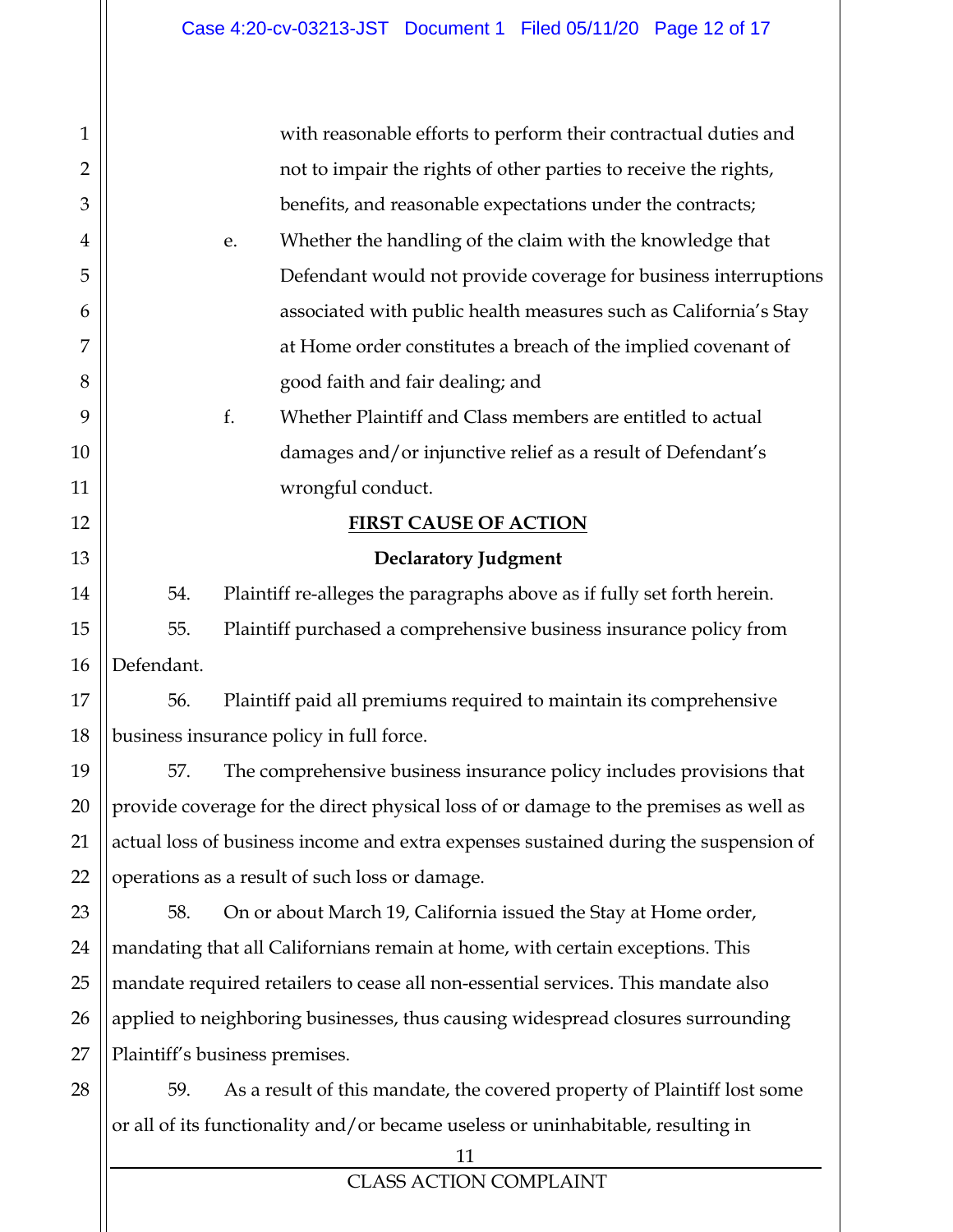| $\mathbf{1}$   |            | with reasonable efforts to perform their contractual duties and                       |
|----------------|------------|---------------------------------------------------------------------------------------|
| $\overline{2}$ |            | not to impair the rights of other parties to receive the rights,                      |
| 3              |            | benefits, and reasonable expectations under the contracts;                            |
| 4              |            | Whether the handling of the claim with the knowledge that<br>e.                       |
| 5              |            | Defendant would not provide coverage for business interruptions                       |
| 6              |            | associated with public health measures such as California's Stay                      |
| 7              |            | at Home order constitutes a breach of the implied covenant of                         |
| 8              |            | good faith and fair dealing; and                                                      |
| 9              |            | f.<br>Whether Plaintiff and Class members are entitled to actual                      |
| 10             |            | damages and/or injunctive relief as a result of Defendant's                           |
| 11             |            | wrongful conduct.                                                                     |
| 12             |            | <b>FIRST CAUSE OF ACTION</b>                                                          |
| 13             |            | <b>Declaratory Judgment</b>                                                           |
| 14             | 54.        | Plaintiff re-alleges the paragraphs above as if fully set forth herein.               |
| 15             | 55.        | Plaintiff purchased a comprehensive business insurance policy from                    |
| 16             | Defendant. |                                                                                       |
| 17             | 56.        | Plaintiff paid all premiums required to maintain its comprehensive                    |
| 18             |            | business insurance policy in full force.                                              |
| 19             | 57.        | The comprehensive business insurance policy includes provisions that                  |
| 20             |            | provide coverage for the direct physical loss of or damage to the premises as well as |
| 21             |            | actual loss of business income and extra expenses sustained during the suspension of  |
| 22             |            | operations as a result of such loss or damage.                                        |
| 23             | 58.        | On or about March 19, California issued the Stay at Home order,                       |
| 24             |            | mandating that all Californians remain at home, with certain exceptions. This         |
| 25             |            | mandate required retailers to cease all non-essential services. This mandate also     |
| 26             |            | applied to neighboring businesses, thus causing widespread closures surrounding       |
| 27             |            | Plaintiff's business premises.                                                        |
| 28             | 59.        | As a result of this mandate, the covered property of Plaintiff lost some              |
|                |            | or all of its functionality and/or became useless or uninhabitable, resulting in      |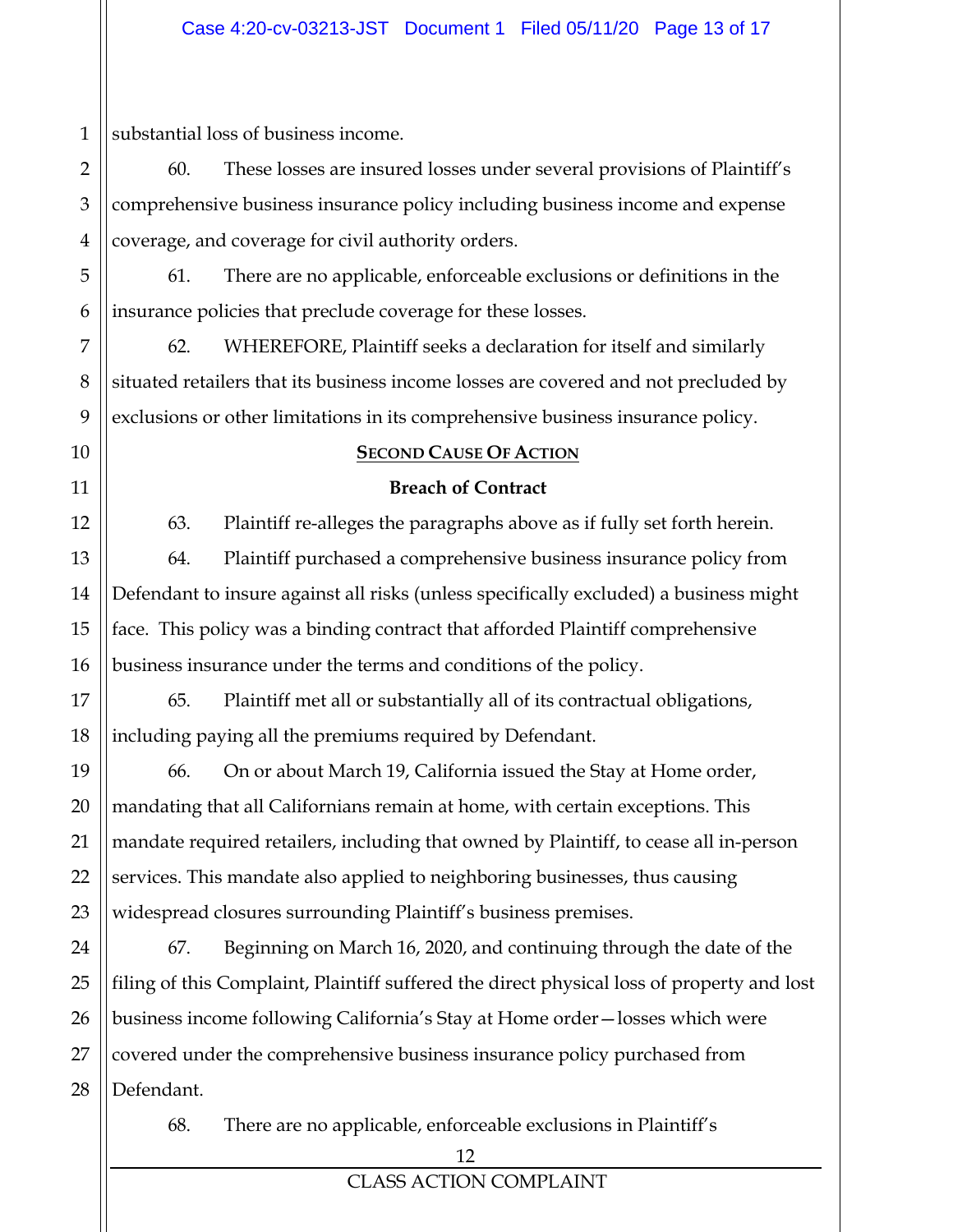1 substantial loss of business income.

60. These losses are insured losses under several provisions of Plaintiff's comprehensive business insurance policy including business income and expense coverage, and coverage for civil authority orders.

61. There are no applicable, enforceable exclusions or definitions in the insurance policies that preclude coverage for these losses.

62. WHEREFORE, Plaintiff seeks a declaration for itself and similarly situated retailers that its business income losses are covered and not precluded by exclusions or other limitations in its comprehensive business insurance policy.

#### **SECOND CAUSE OF ACTION**

#### **Breach of Contract**

63. Plaintiff re-alleges the paragraphs above as if fully set forth herein. 64. Plaintiff purchased a comprehensive business insurance policy from Defendant to insure against all risks (unless specifically excluded) a business might face. This policy was a binding contract that afforded Plaintiff comprehensive business insurance under the terms and conditions of the policy.

65. Plaintiff met all or substantially all of its contractual obligations, including paying all the premiums required by Defendant.

66. On or about March 19, California issued the Stay at Home order, mandating that all Californians remain at home, with certain exceptions. This mandate required retailers, including that owned by Plaintiff, to cease all in-person services. This mandate also applied to neighboring businesses, thus causing widespread closures surrounding Plaintiff's business premises.

67. Beginning on March 16, 2020, and continuing through the date of the filing of this Complaint, Plaintiff suffered the direct physical loss of property and lost business income following California's Stay at Home order—losses which were covered under the comprehensive business insurance policy purchased from Defendant.

68. There are no applicable, enforceable exclusions in Plaintiff's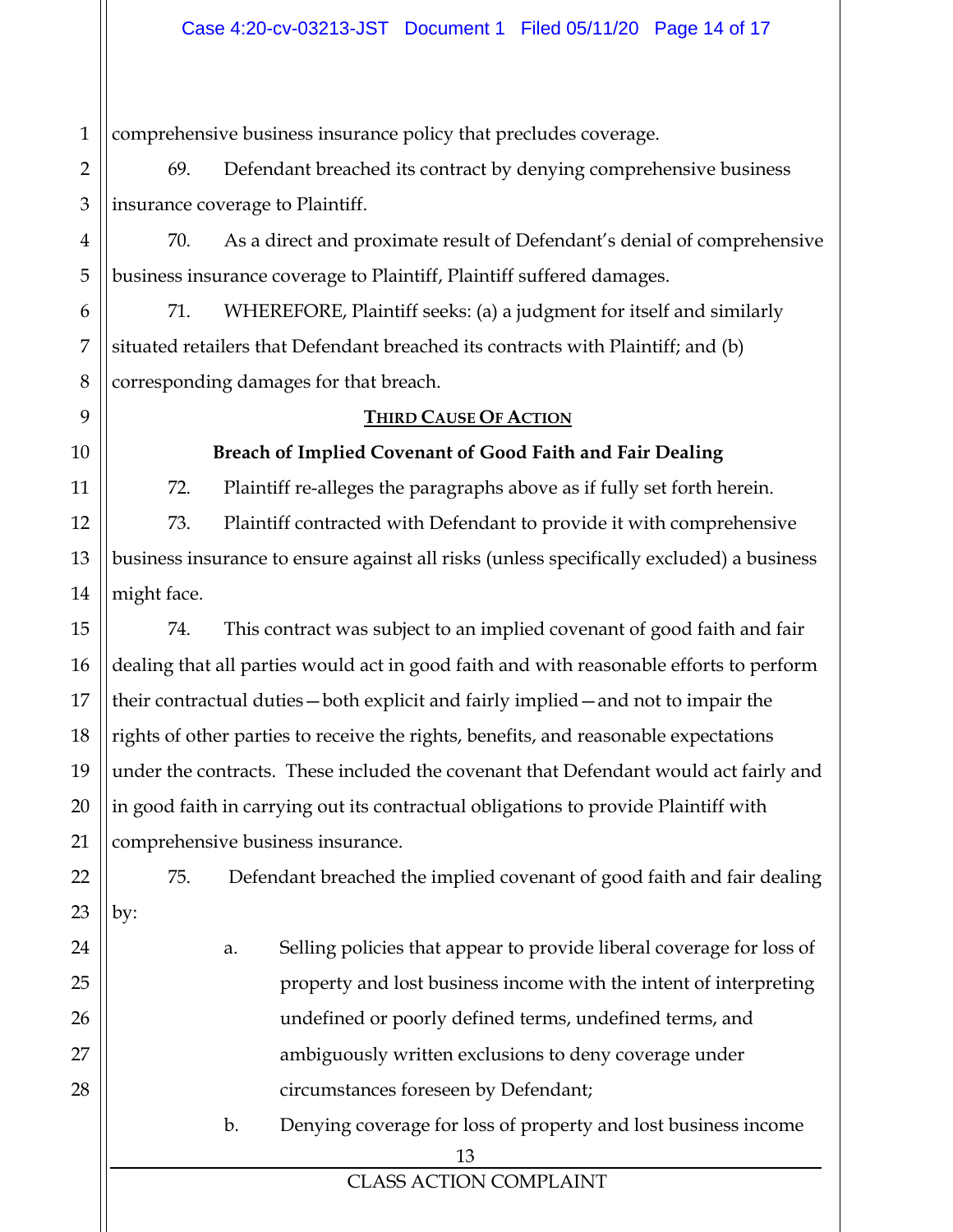1 comprehensive business insurance policy that precludes coverage.

2 3 69. Defendant breached its contract by denying comprehensive business insurance coverage to Plaintiff.

70. As a direct and proximate result of Defendant's denial of comprehensive business insurance coverage to Plaintiff, Plaintiff suffered damages.

71. WHEREFORE, Plaintiff seeks: (a) a judgment for itself and similarly situated retailers that Defendant breached its contracts with Plaintiff; and (b) corresponding damages for that breach.

# **THIRD CAUSE OF ACTION**

4

5

6

7

8

9

10

11

12

13

14

15

16

17

18

19

20

21

22

23

24

25

26

27

28

**Breach of Implied Covenant of Good Faith and Fair Dealing**  72. Plaintiff re-alleges the paragraphs above as if fully set forth herein.

73. Plaintiff contracted with Defendant to provide it with comprehensive business insurance to ensure against all risks (unless specifically excluded) a business might face.

74. This contract was subject to an implied covenant of good faith and fair dealing that all parties would act in good faith and with reasonable efforts to perform their contractual duties—both explicit and fairly implied—and not to impair the rights of other parties to receive the rights, benefits, and reasonable expectations under the contracts. These included the covenant that Defendant would act fairly and in good faith in carrying out its contractual obligations to provide Plaintiff with comprehensive business insurance.

75. Defendant breached the implied covenant of good faith and fair dealing by:

- a. Selling policies that appear to provide liberal coverage for loss of property and lost business income with the intent of interpreting undefined or poorly defined terms, undefined terms, and ambiguously written exclusions to deny coverage under circumstances foreseen by Defendant;
	- b. Denying coverage for loss of property and lost business income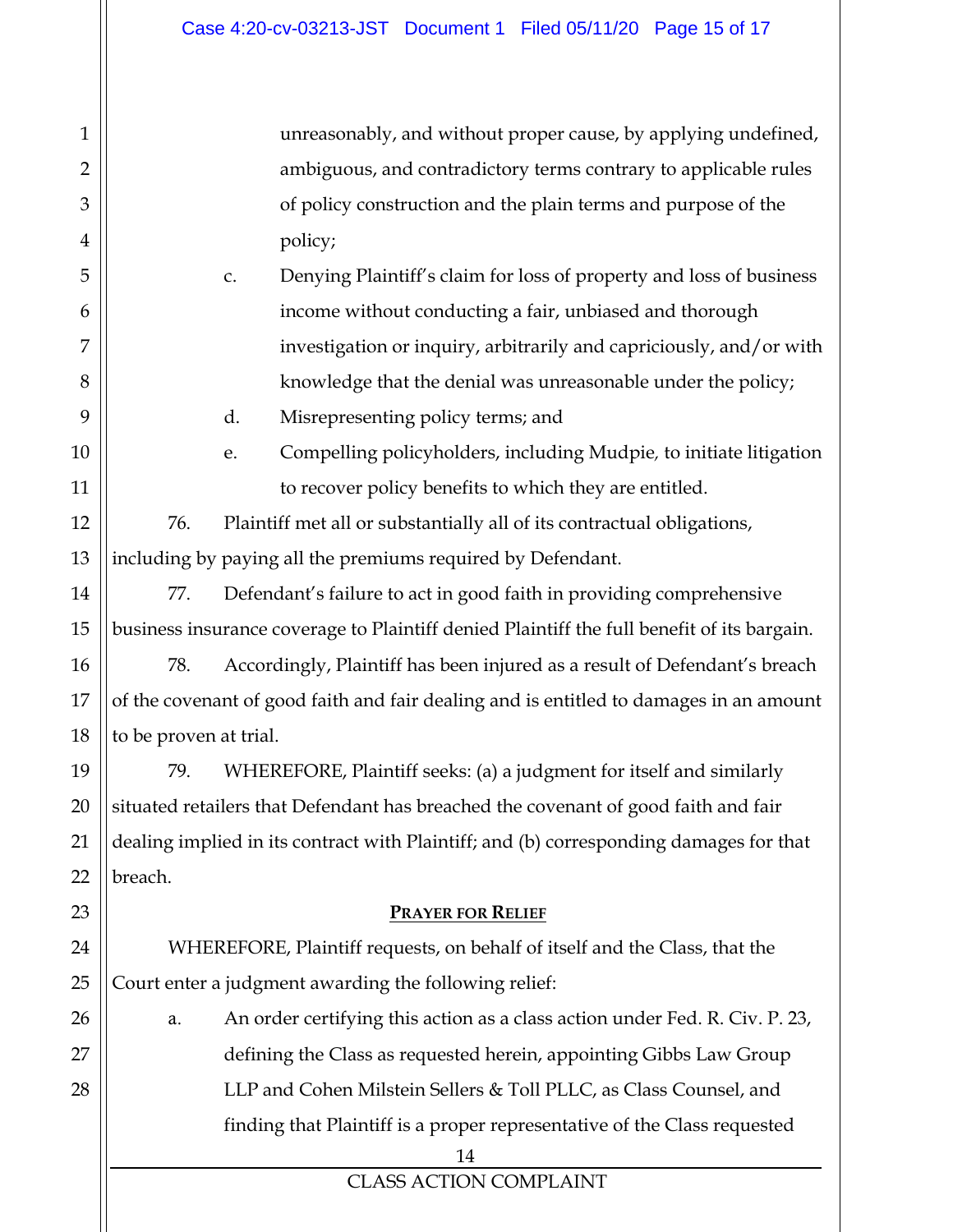unreasonably, and without proper cause, by applying undefined, ambiguous, and contradictory terms contrary to applicable rules of policy construction and the plain terms and purpose of the policy;

- c. Denying Plaintiff's claim for loss of property and loss of business income without conducting a fair, unbiased and thorough investigation or inquiry, arbitrarily and capriciously, and/or with knowledge that the denial was unreasonable under the policy;
	- d. Misrepresenting policy terms; and
- e. Compelling policyholders, including Mudpie*,* to initiate litigation to recover policy benefits to which they are entitled.

76. Plaintiff met all or substantially all of its contractual obligations, including by paying all the premiums required by Defendant.

77. Defendant's failure to act in good faith in providing comprehensive business insurance coverage to Plaintiff denied Plaintiff the full benefit of its bargain.

78. Accordingly, Plaintiff has been injured as a result of Defendant's breach of the covenant of good faith and fair dealing and is entitled to damages in an amount to be proven at trial.

79. WHEREFORE, Plaintiff seeks: (a) a judgment for itself and similarly situated retailers that Defendant has breached the covenant of good faith and fair dealing implied in its contract with Plaintiff; and (b) corresponding damages for that breach.

#### **PRAYER FOR RELIEF**

WHEREFORE, Plaintiff requests, on behalf of itself and the Class, that the Court enter a judgment awarding the following relief:

a. An order certifying this action as a class action under Fed. R. Civ. P. 23, defining the Class as requested herein, appointing Gibbs Law Group LLP and Cohen Milstein Sellers & Toll PLLC, as Class Counsel, and finding that Plaintiff is a proper representative of the Class requested

<sup>14</sup>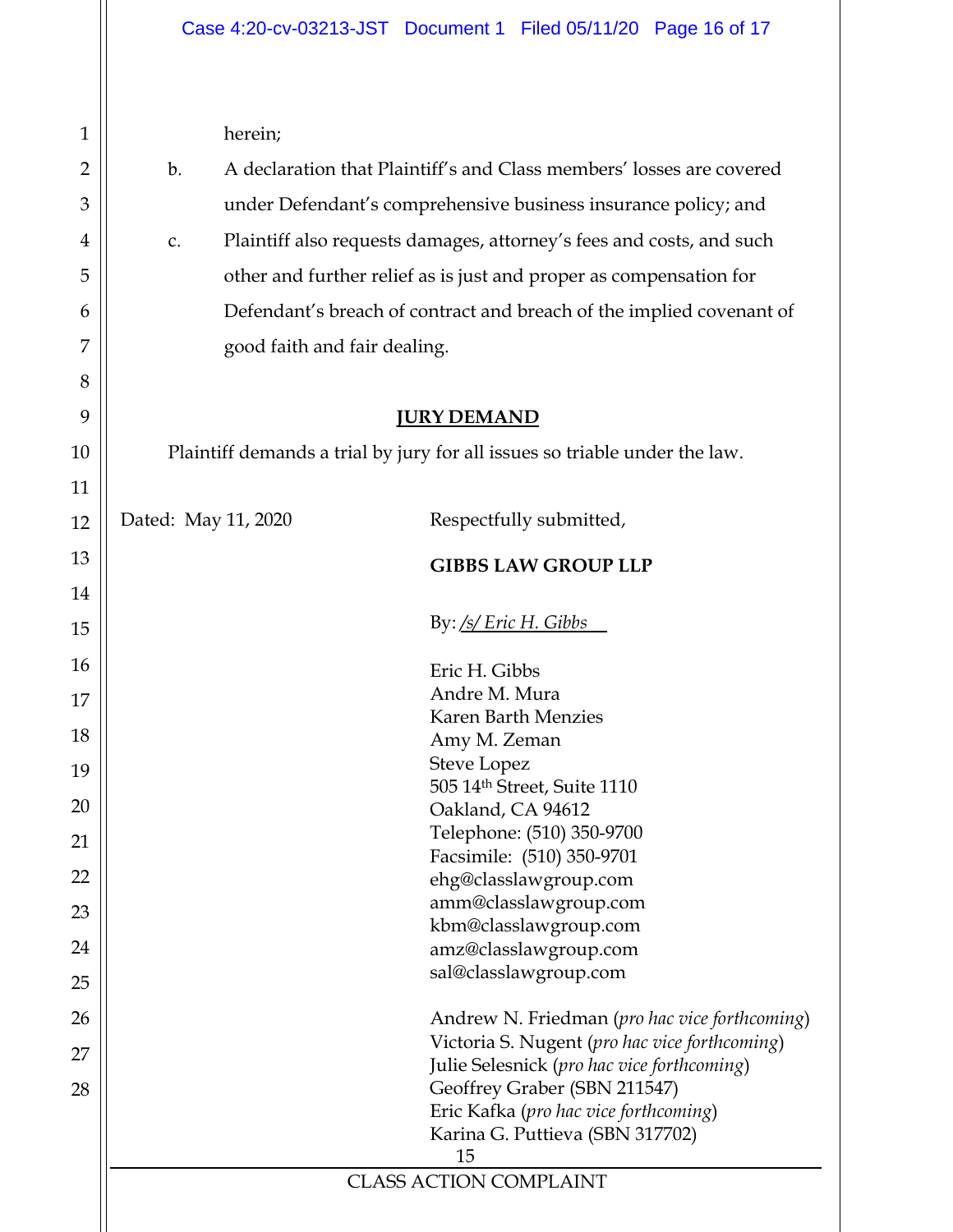|                                                                | herein;                                                              |                                                                            |  |  |  |  |  |  |
|----------------------------------------------------------------|----------------------------------------------------------------------|----------------------------------------------------------------------------|--|--|--|--|--|--|
| b.                                                             | A declaration that Plaintiff's and Class members' losses are covered |                                                                            |  |  |  |  |  |  |
| under Defendant's comprehensive business insurance policy; and |                                                                      |                                                                            |  |  |  |  |  |  |
| $C_{\bullet}$                                                  | Plaintiff also requests damages, attorney's fees and costs, and such |                                                                            |  |  |  |  |  |  |
|                                                                | other and further relief as is just and proper as compensation for   |                                                                            |  |  |  |  |  |  |
|                                                                |                                                                      |                                                                            |  |  |  |  |  |  |
|                                                                | Defendant's breach of contract and breach of the implied covenant of |                                                                            |  |  |  |  |  |  |
|                                                                | good faith and fair dealing.                                         |                                                                            |  |  |  |  |  |  |
|                                                                |                                                                      | <b>JURY DEMAND</b>                                                         |  |  |  |  |  |  |
|                                                                |                                                                      | Plaintiff demands a trial by jury for all issues so triable under the law. |  |  |  |  |  |  |
|                                                                |                                                                      |                                                                            |  |  |  |  |  |  |
| Dated: May 11, 2020                                            |                                                                      | Respectfully submitted,                                                    |  |  |  |  |  |  |
|                                                                |                                                                      | <b>GIBBS LAW GROUP LLP</b>                                                 |  |  |  |  |  |  |
|                                                                |                                                                      |                                                                            |  |  |  |  |  |  |
|                                                                |                                                                      | By: /s/ Eric H. Gibbs                                                      |  |  |  |  |  |  |
|                                                                |                                                                      | Eric H. Gibbs                                                              |  |  |  |  |  |  |
|                                                                |                                                                      | Andre M. Mura                                                              |  |  |  |  |  |  |
|                                                                |                                                                      | <b>Karen Barth Menzies</b>                                                 |  |  |  |  |  |  |
|                                                                |                                                                      | Amy M. Zeman                                                               |  |  |  |  |  |  |
|                                                                |                                                                      | <b>Steve Lopez</b><br>505 14th Street, Suite 1110                          |  |  |  |  |  |  |
|                                                                |                                                                      | Oakland, CA 94612                                                          |  |  |  |  |  |  |
|                                                                |                                                                      | Telephone: (510) 350-9700                                                  |  |  |  |  |  |  |
|                                                                |                                                                      | Facsimile: (510) 350-9701                                                  |  |  |  |  |  |  |
|                                                                |                                                                      | ehg@classlawgroup.com                                                      |  |  |  |  |  |  |
|                                                                |                                                                      | amm@classlawgroup.com                                                      |  |  |  |  |  |  |
|                                                                |                                                                      | kbm@classlawgroup.com                                                      |  |  |  |  |  |  |
|                                                                |                                                                      | amz@classlawgroup.com<br>sal@classlawgroup.com                             |  |  |  |  |  |  |
|                                                                |                                                                      |                                                                            |  |  |  |  |  |  |
|                                                                |                                                                      | Andrew N. Friedman (pro hac vice forthcoming)                              |  |  |  |  |  |  |
|                                                                |                                                                      | Victoria S. Nugent (pro hac vice forthcoming)                              |  |  |  |  |  |  |
|                                                                |                                                                      | Julie Selesnick (pro hac vice forthcoming)                                 |  |  |  |  |  |  |
|                                                                |                                                                      | Geoffrey Graber (SBN 211547)<br>Eric Kafka (pro hac vice forthcoming)      |  |  |  |  |  |  |
|                                                                |                                                                      | Karina G. Puttieva (SBN 317702)                                            |  |  |  |  |  |  |
|                                                                |                                                                      | 15                                                                         |  |  |  |  |  |  |
|                                                                |                                                                      | <b>CLASS ACTION COMPLAINT</b>                                              |  |  |  |  |  |  |
|                                                                |                                                                      |                                                                            |  |  |  |  |  |  |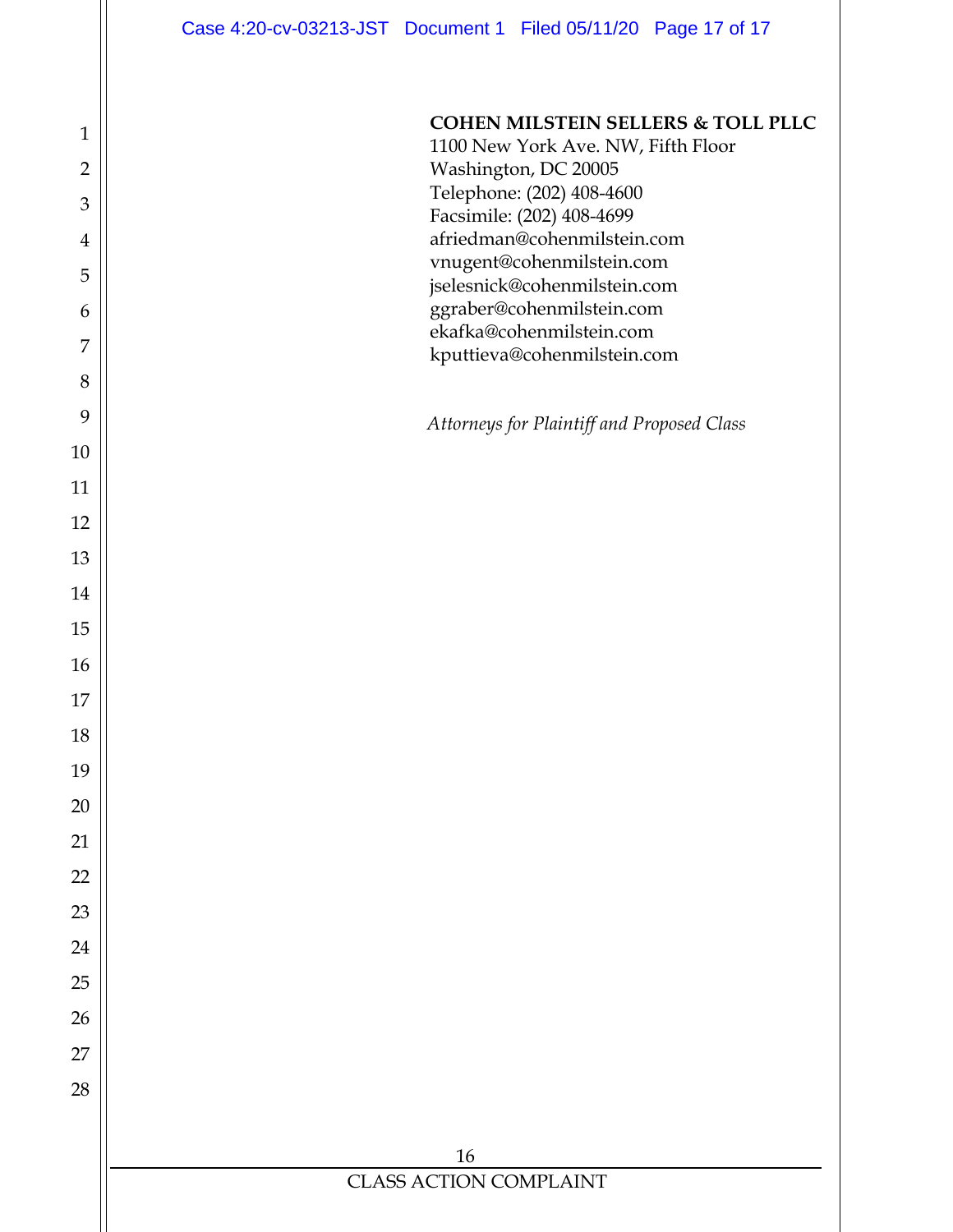**COHEN MILSTEIN SELLERS & TOLL PLLC** 

1100 New York Ave. NW, Fifth Floor Washington, DC 20005 Telephone: (202) 408-4600 Facsimile: (202) 408-4699 afriedman@cohenmilstein.com vnugent@cohenmilstein.com jselesnick@cohenmilstein.com ggraber@cohenmilstein.com ekafka@cohenmilstein.com kputtieva@cohenmilstein.com

*Attorneys for Plaintiff and Proposed Class*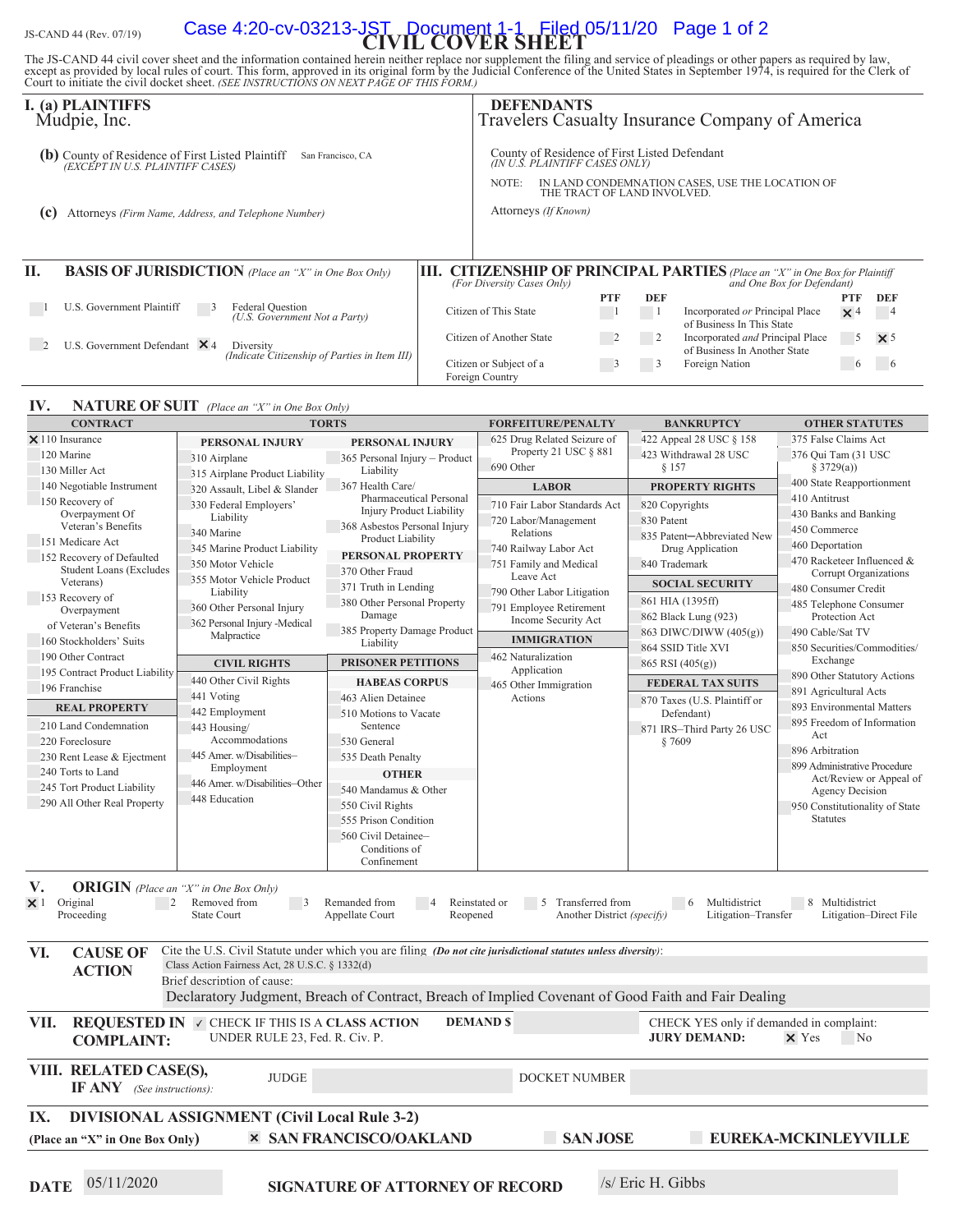# JS-CAND 44 (Rev. 07/19) **Case 4:20-cv-03213-JST, Document 1-1 Filed 05/11/20 Page 1 of 2**<br>**CIVIL COVER SHEET**

The JS-CAND 44 civil cover sheet and the information contained herein neither replace nor supplement the filing and service of pleadings or other papers as required by law, except as provided by local rules of court. This

|                                                                                                            | I. (a) PLAINTIFFS<br>Mudpie, Inc.                                                                       |    |                                                                                                                                                                            | <b>DEFENDANTS</b>    |            |                | Travelers Casualty Insurance Company of America                                                              |            |                |
|------------------------------------------------------------------------------------------------------------|---------------------------------------------------------------------------------------------------------|----|----------------------------------------------------------------------------------------------------------------------------------------------------------------------------|----------------------|------------|----------------|--------------------------------------------------------------------------------------------------------------|------------|----------------|
| County of Residence of First Listed Plaintiff (EXCEPT IN U.S. PLAINTIFF CASES)<br>(b)<br>San Francisco, CA |                                                                                                         |    | County of Residence of First Listed Defendant<br>(IN U.Š. PLAINTIFF CASES ONLY)<br>IN LAND CONDEMNATION CASES, USE THE LOCATION OF<br>NOTE:<br>THE TRACT OF LAND INVOLVED. |                      |            |                |                                                                                                              |            |                |
| (c)                                                                                                        | Attorneys (Firm Name, Address, and Telephone Number)                                                    |    |                                                                                                                                                                            | Attorneys (If Known) |            |                |                                                                                                              |            |                |
| H.                                                                                                         | <b>BASIS OF JURISDICTION</b> (Place an "X" in One Box Only)                                             | Ш. | (For Diversity Cases Only)                                                                                                                                                 |                      |            |                | <b>CITIZENSHIP OF PRINCIPAL PARTIES</b> (Place an "X" in One Box for Plaintiff<br>and One Box for Defendant) |            |                |
|                                                                                                            |                                                                                                         |    |                                                                                                                                                                            |                      | <b>PTF</b> | <b>DEF</b>     |                                                                                                              | <b>PTF</b> | <b>DEF</b>     |
|                                                                                                            | U.S. Government Plaintiff<br><b>Federal Question</b><br>$\overline{5}$<br>(U.S. Government Not a Party) |    | Citizen of This State                                                                                                                                                      |                      |            |                | Incorporated or Principal Place<br>of Business In This State                                                 | $\times$ 4 | $\overline{4}$ |
|                                                                                                            | U.S. Government Defendant $\times$ 4<br>Diversity<br>(Indicate Citizenship of Parties in Item III)      |    | Citizen of Another State                                                                                                                                                   |                      | -2         | $\overline{2}$ | Incorporated and Principal Place<br>of Business In Another State                                             | 5          | $\times$ 5     |
|                                                                                                            |                                                                                                         |    | Citizen or Subject of a<br>Foreign Country                                                                                                                                 |                      |            | 3              | Foreign Nation                                                                                               | $\sigma$   |                |

#### **IV. NATURE OF SUIT** (Place an "X" in One Box Only)

| <b>CONTRACT</b>                                                                                                                                |                                                                                                                        | <b>TORTS</b>                                               | <b>FORFEITURE/PENALTY</b>                             | <b>BANKRUPTCY</b>                        | <b>OTHER STATUTES</b>                                      |  |  |
|------------------------------------------------------------------------------------------------------------------------------------------------|------------------------------------------------------------------------------------------------------------------------|------------------------------------------------------------|-------------------------------------------------------|------------------------------------------|------------------------------------------------------------|--|--|
| $\times$ 110 Insurance                                                                                                                         | PERSONAL INJURY                                                                                                        | PERSONAL INJURY                                            | 625 Drug Related Seizure of                           | 422 Appeal 28 USC § 158                  | 375 False Claims Act                                       |  |  |
| 120 Marine                                                                                                                                     | 310 Airplane                                                                                                           | 365 Personal Injury - Product                              | Property 21 USC § 881                                 | 423 Withdrawal 28 USC                    | 376 Qui Tam (31 USC                                        |  |  |
| 130 Miller Act                                                                                                                                 | 315 Airplane Product Liability                                                                                         | Liability                                                  | 690 Other                                             | § 157                                    | \$3729(a)                                                  |  |  |
| 140 Negotiable Instrument                                                                                                                      | 320 Assault, Libel & Slander                                                                                           | 367 Health Care/                                           | <b>LABOR</b>                                          | <b>PROPERTY RIGHTS</b>                   | 400 State Reapportionment                                  |  |  |
| 150 Recovery of                                                                                                                                | 330 Federal Employers'                                                                                                 | Pharmaceutical Personal<br><b>Injury Product Liability</b> | 710 Fair Labor Standards Act                          | 820 Copyrights                           | 410 Antitrust                                              |  |  |
| Overpayment Of<br>Veteran's Benefits                                                                                                           | Liability                                                                                                              | 368 Asbestos Personal Injury                               | 720 Labor/Management                                  | 830 Patent                               | 430 Banks and Banking                                      |  |  |
| 151 Medicare Act                                                                                                                               | 340 Marine                                                                                                             | Product Liability                                          | Relations                                             | 835 Patent-Abbreviated New               | 450 Commerce                                               |  |  |
| 152 Recovery of Defaulted                                                                                                                      | 345 Marine Product Liability                                                                                           | PERSONAL PROPERTY                                          | 740 Railway Labor Act                                 | Drug Application                         | 460 Deportation                                            |  |  |
| <b>Student Loans (Excludes</b>                                                                                                                 | 350 Motor Vehicle                                                                                                      | 370 Other Fraud                                            | 751 Family and Medical                                | 840 Trademark                            | 470 Racketeer Influenced &<br><b>Corrupt Organizations</b> |  |  |
| Veterans)                                                                                                                                      | 355 Motor Vehicle Product<br>Liability                                                                                 | 371 Truth in Lending                                       | Leave Act                                             | <b>SOCIAL SECURITY</b>                   | 480 Consumer Credit                                        |  |  |
| 153 Recovery of                                                                                                                                | 360 Other Personal Injury                                                                                              | 380 Other Personal Property                                | 790 Other Labor Litigation<br>791 Employee Retirement | 861 HIA (1395ff)                         | 485 Telephone Consumer                                     |  |  |
| Overpayment                                                                                                                                    | 362 Personal Injury - Medical                                                                                          | Damage                                                     | Income Security Act                                   | 862 Black Lung (923)                     | Protection Act                                             |  |  |
| of Veteran's Benefits                                                                                                                          | Malpractice                                                                                                            | 385 Property Damage Product                                | <b>IMMIGRATION</b>                                    | 863 DIWC/DIWW (405(g))                   | 490 Cable/Sat TV                                           |  |  |
| 160 Stockholders' Suits                                                                                                                        |                                                                                                                        | Liability                                                  |                                                       | 864 SSID Title XVI                       | 850 Securities/Commodities/                                |  |  |
| 190 Other Contract                                                                                                                             | <b>CIVIL RIGHTS</b>                                                                                                    | <b>PRISONER PETITIONS</b>                                  | 462 Naturalization<br>Application                     | 865 RSI (405(g))                         | Exchange                                                   |  |  |
| 195 Contract Product Liability<br>196 Franchise                                                                                                | 440 Other Civil Rights                                                                                                 | <b>HABEAS CORPUS</b>                                       | 465 Other Immigration                                 | <b>FEDERAL TAX SUITS</b>                 | 890 Other Statutory Actions                                |  |  |
|                                                                                                                                                | 441 Voting                                                                                                             | 463 Alien Detainee                                         | Actions                                               | 870 Taxes (U.S. Plaintiff or             | 891 Agricultural Acts                                      |  |  |
| <b>REAL PROPERTY</b>                                                                                                                           | 442 Employment                                                                                                         | 510 Motions to Vacate                                      |                                                       | Defendant)                               | 893 Environmental Matters                                  |  |  |
| 210 Land Condemnation                                                                                                                          | 443 Housing/                                                                                                           | Sentence                                                   |                                                       | 871 IRS-Third Party 26 USC               | 895 Freedom of Information<br>Act                          |  |  |
| 220 Foreclosure                                                                                                                                | Accommodations                                                                                                         | 530 General                                                |                                                       | § 7609                                   | 896 Arbitration                                            |  |  |
| 230 Rent Lease & Ejectment                                                                                                                     | 445 Amer. w/Disabilities-                                                                                              | 535 Death Penalty                                          |                                                       |                                          | 899 Administrative Procedure                               |  |  |
| 240 Torts to Land                                                                                                                              | Employment<br>446 Amer. w/Disabilities-Other                                                                           | <b>OTHER</b>                                               |                                                       |                                          | Act/Review or Appeal of                                    |  |  |
| 245 Tort Product Liability                                                                                                                     | 448 Education                                                                                                          | 540 Mandamus & Other                                       |                                                       |                                          | Agency Decision                                            |  |  |
| 290 All Other Real Property                                                                                                                    |                                                                                                                        | 550 Civil Rights                                           |                                                       |                                          | 950 Constitutionality of State                             |  |  |
|                                                                                                                                                |                                                                                                                        | 555 Prison Condition                                       |                                                       |                                          | <b>Statutes</b>                                            |  |  |
|                                                                                                                                                |                                                                                                                        | 560 Civil Detainee-                                        |                                                       |                                          |                                                            |  |  |
|                                                                                                                                                |                                                                                                                        | Conditions of<br>Confinement                               |                                                       |                                          |                                                            |  |  |
|                                                                                                                                                |                                                                                                                        |                                                            |                                                       |                                          |                                                            |  |  |
| V.                                                                                                                                             | <b>ORIGIN</b> (Place an "X" in One Box Only)                                                                           |                                                            |                                                       |                                          |                                                            |  |  |
| Original<br>$\overline{2}$<br>$\times$ 1                                                                                                       | Removed from<br>$\overline{\phantom{a}}$                                                                               | Remanded from<br>$\overline{4}$                            | Reinstated or<br>5 Transferred from                   | $6\overline{6}$<br>Multidistrict         | 8 Multidistrict                                            |  |  |
| Proceeding<br><b>State Court</b><br>Another District (specify)<br>Litigation-Direct File<br>Appellate Court<br>Reopened<br>Litigation-Transfer |                                                                                                                        |                                                            |                                                       |                                          |                                                            |  |  |
|                                                                                                                                                |                                                                                                                        |                                                            |                                                       |                                          |                                                            |  |  |
| VI.<br><b>CAUSE OF</b>                                                                                                                         | Cite the U.S. Civil Statute under which you are filing <i>(Do not cite iurisdictional statutes unless diversity)</i> : |                                                            |                                                       |                                          |                                                            |  |  |
| <b>ACTION</b>                                                                                                                                  | Class Action Fairness Act, 28 U.S.C. § 1332(d)                                                                         |                                                            |                                                       |                                          |                                                            |  |  |
|                                                                                                                                                | Brief description of cause:                                                                                            |                                                            |                                                       |                                          |                                                            |  |  |
|                                                                                                                                                | Declaratory Judgment, Breach of Contract, Breach of Implied Covenant of Good Faith and Fair Dealing                    |                                                            |                                                       |                                          |                                                            |  |  |
| VII.                                                                                                                                           | <b>REQUESTED IN V CHECK IF THIS IS A CLASS ACTION</b>                                                                  |                                                            | <b>DEMAND \$</b>                                      | CHECK YES only if demanded in complaint: |                                                            |  |  |
| <b>COMPLAINT:</b>                                                                                                                              | UNDER RULE 23, Fed. R. Civ. P.                                                                                         |                                                            |                                                       | <b>JURY DEMAND:</b>                      | $\times$ Yes<br>No.                                        |  |  |
|                                                                                                                                                |                                                                                                                        |                                                            |                                                       |                                          |                                                            |  |  |
| VIII. RELATED CASE(S),<br><b>JUDGE</b><br>DOCKET NUMBER                                                                                        |                                                                                                                        |                                                            |                                                       |                                          |                                                            |  |  |
| <b>IF ANY</b> (See instructions):                                                                                                              |                                                                                                                        |                                                            |                                                       |                                          |                                                            |  |  |
| <b>DIVISIONAL ASSIGNMENT (Civil Local Rule 3-2)</b>                                                                                            |                                                                                                                        |                                                            |                                                       |                                          |                                                            |  |  |
| IX.                                                                                                                                            |                                                                                                                        |                                                            |                                                       |                                          |                                                            |  |  |
| (Place an "X" in One Box Only)                                                                                                                 |                                                                                                                        | <b>× SAN FRANCISCO/OAKLAND</b>                             | <b>SAN JOSE</b>                                       |                                          | <b>EUREKA-MCKINLEYVILLE</b>                                |  |  |
|                                                                                                                                                |                                                                                                                        |                                                            |                                                       |                                          |                                                            |  |  |

**DATE** 05/11/2020 **SIGNATURE OF ATTORNEY OF RECORD** /s/ Eric H. Gibbs